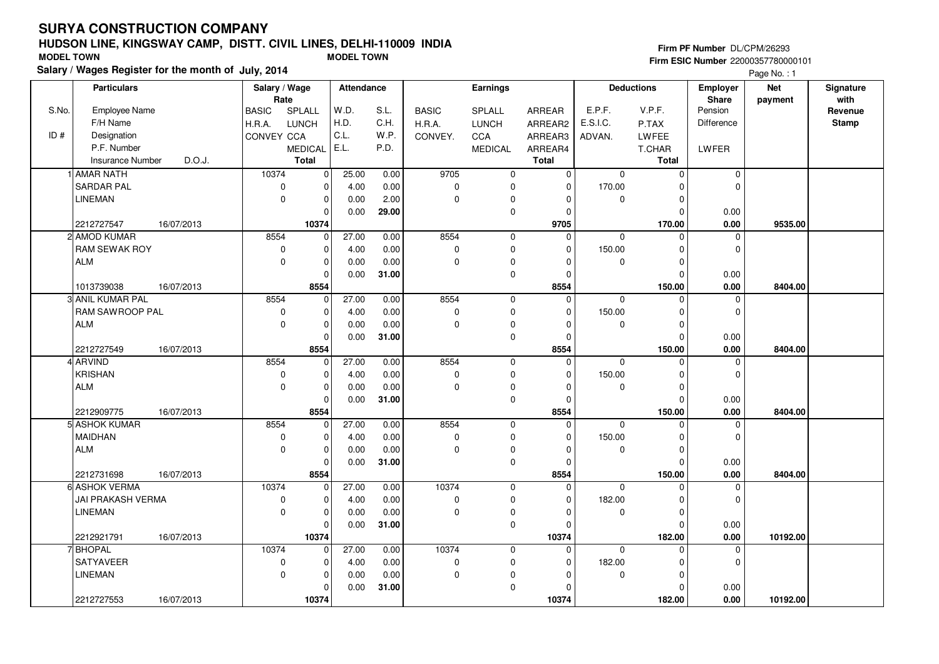#### **HUDSON LINE, KINGSWAY CAMP, DISTT. CIVIL LINES, DELHI-110009 INDIAFirm ESIC Number** 22000357780000101 **MODEL TOWN MODEL TOWN**

**Salary / Wages Register for the month of July, 2014**

**Firm PF Number** DL/CPM/26293

|       | <b>Particulars</b>      |            | Salary / Wage<br>Rate |                | Attendance |       |              | Earnings       |               |          | <b>Deductions</b> | Employer<br>Share | <b>Net</b> | Signature<br>with |
|-------|-------------------------|------------|-----------------------|----------------|------------|-------|--------------|----------------|---------------|----------|-------------------|-------------------|------------|-------------------|
| S.No. | Employee Name           |            | <b>BASIC</b>          | SPLALL         | W.D.       | S.L.  | <b>BASIC</b> | SPLALL         | <b>ARREAR</b> | E.P.F.   | V.P.F.            | Pension           | payment    | Revenue           |
|       | F/H Name                |            | H.R.A.                | <b>LUNCH</b>   | H.D.       | C.H.  | H.R.A.       | <b>LUNCH</b>   | ARREAR2       | E.S.I.C. | P.TAX             | Difference        |            | <b>Stamp</b>      |
| ID#   | Designation             |            | CONVEY CCA            |                | C.L.       | W.P.  | CONVEY.      | CCA            | ARREAR3       | ADVAN.   | LWFEE             |                   |            |                   |
|       | P.F. Number             |            |                       | <b>MEDICAL</b> | E.L.       | P.D.  |              | <b>MEDICAL</b> | ARREAR4       |          | T.CHAR            | LWFER             |            |                   |
|       | <b>Insurance Number</b> | D.O.J.     |                       | <b>Total</b>   |            |       |              |                | <b>Total</b>  |          | Total             |                   |            |                   |
|       | 1 AMAR NATH             |            | 10374                 | 0              | 25.00      | 0.00  | 9705         | 0              | $\mathbf 0$   | 0        | $\mathbf 0$       | $\mathbf 0$       |            |                   |
|       | <b>SARDAR PAL</b>       |            | $\mathsf 0$           | 0              | 4.00       | 0.00  | $\pmb{0}$    | 0              | $\mathbf 0$   | 170.00   | O                 | $\Omega$          |            |                   |
|       | <b>LINEMAN</b>          |            | $\pmb{0}$             | $\mathbf 0$    | 0.00       | 2.00  | $\Omega$     | 0              | $\Omega$      | 0        | $\Omega$          |                   |            |                   |
|       |                         |            |                       | $\Omega$       | 0.00       | 29.00 |              | 0              | $\mathbf 0$   |          | $\Omega$          | 0.00              |            |                   |
|       | 2212727547              | 16/07/2013 |                       | 10374          |            |       |              |                | 9705          |          | 170.00            | 0.00              | 9535.00    |                   |
|       | 2 AMOD KUMAR            |            | 8554                  | $\overline{0}$ | 27.00      | 0.00  | 8554         | $\mathbf 0$    | $\Omega$      | 0        | $\Omega$          | $\mathbf 0$       |            |                   |
|       | <b>RAM SEWAK ROY</b>    |            | $\mathbf 0$           | $\mathbf 0$    | 4.00       | 0.00  | $\mathbf 0$  | 0              | $\Omega$      | 150.00   | $\Omega$          | $\mathbf 0$       |            |                   |
|       | ALM                     |            | $\mathbf 0$           | $\mathbf 0$    | 0.00       | 0.00  | $\mathbf 0$  | 0              | $\Omega$      | 0        | $\Omega$          |                   |            |                   |
|       |                         |            |                       | $\Omega$       | 0.00       | 31.00 |              | $\mathbf{0}$   | $\Omega$      |          | $\Omega$          | 0.00              |            |                   |
|       | 1013739038              | 16/07/2013 |                       | 8554           |            |       |              |                | 8554          |          | 150.00            | 0.00              | 8404.00    |                   |
|       | 3 ANIL KUMAR PAL        |            | 8554                  | $\mathbf 0$    | 27.00      | 0.00  | 8554         | $\mathbf 0$    | $\mathbf 0$   | 0        | $\mathbf 0$       | 0                 |            |                   |
|       | RAM SAWROOP PAL         |            | $\pmb{0}$             | $\Omega$       | 4.00       | 0.00  | $\mathbf 0$  | $\mathbf 0$    | $\Omega$      | 150.00   | ŋ                 | $\Omega$          |            |                   |
|       | ALM                     |            | $\mathbf 0$           | $\mathbf 0$    | 0.00       | 0.00  | $\Omega$     | 0              | $\Omega$      | 0        | $\mathbf 0$       |                   |            |                   |
|       |                         |            |                       | $\Omega$       | 0.00       | 31.00 |              | 0              | $\Omega$      |          | $\Omega$          | 0.00              |            |                   |
|       | 2212727549              | 16/07/2013 |                       | 8554           |            |       |              |                | 8554          |          | 150.00            | 0.00              | 8404.00    |                   |
|       | 4 ARVIND                |            | 8554                  | $\mathbf 0$    | 27.00      | 0.00  | 8554         | $\mathbf 0$    | $\Omega$      | 0        | $\Omega$          | $\mathbf 0$       |            |                   |
|       | KRISHAN                 |            | $\pmb{0}$             | $\mathbf 0$    | 4.00       | 0.00  | 0            | 0              | $\Omega$      | 150.00   | $\Omega$          | $\mathbf 0$       |            |                   |
|       | <b>ALM</b>              |            | $\mathbf 0$           | $\mathbf 0$    | 0.00       | 0.00  | $\Omega$     | 0              | $\Omega$      | 0        | $\Omega$          |                   |            |                   |
|       |                         |            |                       | $\Omega$       | 0.00       | 31.00 |              | $\mathbf 0$    | $\Omega$      |          | $\Omega$          | 0.00              |            |                   |
|       | 2212909775              | 16/07/2013 |                       | 8554           |            |       |              |                | 8554          |          | 150.00            | 0.00              | 8404.00    |                   |
|       | 5 ASHOK KUMAR           |            | 8554                  | $\mathbf 0$    | 27.00      | 0.00  | 8554         | $\mathbf 0$    | $\mathbf 0$   | $\Omega$ | $\Omega$          | $\mathbf 0$       |            |                   |
|       | MAIDHAN                 |            | $\mathbf 0$           | $\Omega$       | 4.00       | 0.00  | $\mathbf 0$  | $\mathbf 0$    | $\Omega$      | 150.00   | ŋ                 | $\Omega$          |            |                   |
|       | <b>ALM</b>              |            | $\mathbf 0$           | $\mathbf 0$    | 0.00       | 0.00  | $\mathbf 0$  | 0              | 0             | 0        | $\mathbf 0$       |                   |            |                   |
|       |                         |            |                       | $\mathbf 0$    | 0.00       | 31.00 |              | $\pmb{0}$      | $\Omega$      |          | $\Omega$          | 0.00              |            |                   |
|       | 2212731698              | 16/07/2013 |                       | 8554           |            |       |              |                | 8554          |          | 150.00            | 0.00              | 8404.00    |                   |
|       | 6 ASHOK VERMA           |            | 10374                 | $\mathbf 0$    | 27.00      | 0.00  | 10374        | $\mathbf 0$    | $\Omega$      | $\Omega$ | $\Omega$          | $\Omega$          |            |                   |
|       | JAI PRAKASH VERMA       |            | $\pmb{0}$             | $\mathbf 0$    | 4.00       | 0.00  | $\mathbf 0$  | 0              | $\Omega$      | 182.00   | $\Omega$          | $\mathbf 0$       |            |                   |
|       | LINEMAN                 |            | $\mathbf 0$           | $\mathbf 0$    | 0.00       | 0.00  | $\mathbf 0$  | 0              | 0             | 0        | $\Omega$          |                   |            |                   |
|       |                         |            |                       | $\Omega$       | 0.00       | 31.00 |              | $\mathbf 0$    | $\Omega$      |          | $\Omega$          | 0.00              |            |                   |
|       | 2212921791              | 16/07/2013 |                       | 10374          |            |       |              |                | 10374         |          | 182.00            | 0.00              | 10192.00   |                   |
|       | 7 BHOPAL                |            | 10374                 | 0              | 27.00      | 0.00  | 10374        | $\mathbf 0$    | $\Omega$      | 0        | $\Omega$          | $\mathbf 0$       |            |                   |
|       | <b>SATYAVEER</b>        |            | $\pmb{0}$             | $\mathbf 0$    | 4.00       | 0.00  | $\pmb{0}$    | 0              | $\mathbf 0$   | 182.00   | $\Omega$          | $\mathbf 0$       |            |                   |
|       | <b>LINEMAN</b>          |            | $\mathbf 0$           | $\mathbf 0$    | 0.00       | 0.00  | $\Omega$     | 0              | $\Omega$      | 0        | $\Omega$          |                   |            |                   |
|       |                         |            |                       | $\Omega$       | 0.00       | 31.00 |              | 0              | 0             |          | $\Omega$          | 0.00              |            |                   |
|       | 2212727553              | 16/07/2013 |                       | 10374          |            |       |              |                | 10374         |          | 182.00            | 0.00              | 10192.00   |                   |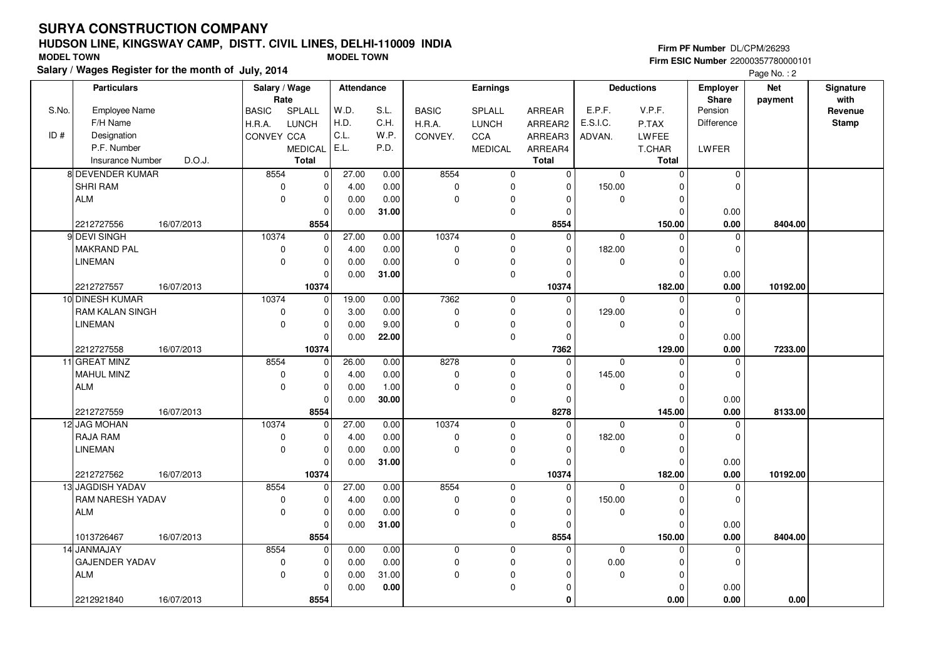#### **HUDSON LINE, KINGSWAY CAMP, DISTT. CIVIL LINES, DELHI-110009 INDIAFirm ESIC Number** 22000357780000101 **MODEL TOWN MODEL TOWN**

**Salary / Wages Register for the month of July, 2014**

**Firm PF Number** DL/CPM/26293

|       | <b>Particulars</b>      |            | Salary / Wage        |                | Attendance |          |              | <b>Earnings</b> |                |             | <b>Deductions</b> | <b>Employer</b>  | <b>Net</b> | Signature       |
|-------|-------------------------|------------|----------------------|----------------|------------|----------|--------------|-----------------|----------------|-------------|-------------------|------------------|------------|-----------------|
| S.No. | <b>Employee Name</b>    |            | Rate<br><b>BASIC</b> | SPLALL         | W.D.       | S.L.     | <b>BASIC</b> | <b>SPLALL</b>   | ARREAR         | E.P.F.      | V.P.F.            | Share<br>Pension | payment    | with<br>Revenue |
|       | F/H Name                |            |                      | <b>LUNCH</b>   | H.D.       | C.H.     |              |                 |                | E.S.I.C.    | P.TAX             | Difference       |            | <b>Stamp</b>    |
| ID#   |                         |            | H.R.A.               |                | C.L.       | W.P.     | H.R.A.       | <b>LUNCH</b>    | ARREAR2        |             |                   |                  |            |                 |
|       | Designation             |            | CONVEY CCA           |                | E.L.       |          | CONVEY.      | CCA             | ARREAR3        | ADVAN.      | LWFEE             |                  |            |                 |
|       | P.F. Number             |            |                      | <b>MEDICAL</b> |            | P.D.     |              | <b>MEDICAL</b>  | ARREAR4        |             | T.CHAR            | LWFER            |            |                 |
|       | <b>Insurance Number</b> | D.O.J.     |                      | <b>Total</b>   |            |          |              |                 | Total          |             | <b>Total</b>      |                  |            |                 |
|       | 8 DEVENDER KUMAR        |            | 8554                 | $\mathbf 0$    | 27.00      | 0.00     | 8554         | $\mathbf 0$     | $\overline{0}$ | $\mathbf 0$ | $\mathbf 0$       | $\pmb{0}$        |            |                 |
|       | <b>SHRI RAM</b>         |            | $\mathbf 0$          | $\mathbf 0$    | 4.00       | 0.00     | $\pmb{0}$    | $\mathbf 0$     | 0              | 150.00      | $\Omega$          | 0                |            |                 |
|       | ALM                     |            | $\mathbf 0$          | 0              | 0.00       | 0.00     | $\pmb{0}$    | 0               | O              | 0           | $\mathbf 0$       |                  |            |                 |
|       |                         |            |                      |                | 0.00       | 31.00    |              | $\pmb{0}$       | $\Omega$       |             | $\Omega$          | 0.00             |            |                 |
|       | 2212727556              | 16/07/2013 |                      | 8554           |            |          |              |                 | 8554           |             | 150.00            | 0.00             | 8404.00    |                 |
|       | 9 DEVI SINGH            |            | 10374                | 0              | 27.00      | 0.00     | 10374        | $\mathbf 0$     | $\mathbf 0$    | 0           | 0                 | 0                |            |                 |
|       | <b>MAKRAND PAL</b>      |            | $\mathbf 0$          | $\mathbf 0$    | 4.00       | 0.00     | $\pmb{0}$    | $\mathbf 0$     | $\Omega$       | 182.00      | $\Omega$          | $\mathbf 0$      |            |                 |
|       | <b>LINEMAN</b>          |            | $\mathbf 0$          | $\mathbf 0$    | 0.00       | 0.00     | $\pmb{0}$    | $\pmb{0}$       | $\Omega$       | 0           | $\Omega$          |                  |            |                 |
|       |                         |            |                      | $\Omega$       | 0.00       | 31.00    |              | $\mathbf 0$     | $\Omega$       |             | $\Omega$          | 0.00             |            |                 |
|       | 2212727557              | 16/07/2013 |                      | 10374          |            |          |              |                 | 10374          |             | 182.00            | 0.00             | 10192.00   |                 |
|       | 10 DINESH KUMAR         |            | 10374                | 0              | 19.00      | 0.00     | 7362         | $\mathbf 0$     | $\mathbf 0$    | $\Omega$    | $\Omega$          | $\mathbf 0$      |            |                 |
|       | <b>RAM KALAN SINGH</b>  |            | $\mathbf 0$          | $\Omega$       | 3.00       | 0.00     | $\mathsf 0$  | 0               | $\Omega$       | 129.00      | $\Omega$          | $\Omega$         |            |                 |
|       | <b>LINEMAN</b>          |            | $\mathbf 0$          | $\mathbf 0$    | 0.00       | 9.00     | $\Omega$     | $\mathbf 0$     | $\Omega$       | $\Omega$    | $\Omega$          |                  |            |                 |
|       |                         |            |                      | $\Omega$       | 0.00       | 22.00    |              | $\pmb{0}$       | $\Omega$       |             | $\Omega$          | 0.00             |            |                 |
|       | 2212727558              | 16/07/2013 |                      | 10374          |            |          |              |                 | 7362           |             | 129.00            | $0.00\,$         | 7233.00    |                 |
|       | 11 GREAT MINZ           |            | 8554                 | $\Omega$       | 26.00      | 0.00     | 8278         | $\mathbf 0$     | $\overline{0}$ | $\Omega$    | $\Omega$          | 0                |            |                 |
|       | <b>MAHUL MINZ</b>       |            | $\mathbf 0$          | $\mathbf 0$    | 4.00       | 0.00     | $\pmb{0}$    | $\mathbf 0$     | $\Omega$       | 145.00      | $\Omega$          | $\Omega$         |            |                 |
|       | <b>ALM</b>              |            | $\mathbf 0$          | $\Omega$       | 0.00       | 1.00     | $\mathbf 0$  | $\pmb{0}$       | $\Omega$       | $\mathbf 0$ | $\Omega$          |                  |            |                 |
|       |                         |            |                      | $\Omega$       | 0.00       | 30.00    |              | $\mathbf 0$     | $\mathbf 0$    |             | $\Omega$          | 0.00             |            |                 |
|       | 2212727559              | 16/07/2013 |                      | 8554           |            |          |              |                 | 8278           |             | 145.00            | 0.00             | 8133.00    |                 |
|       | 12 JAG MOHAN            |            | 10374                | $\mathbf 0$    | 27.00      | 0.00     | 10374        | $\mathbf 0$     | $\overline{0}$ | $\Omega$    | $\Omega$          | $\overline{0}$   |            |                 |
|       | <b>RAJA RAM</b>         |            | $\mathbf 0$          | $\Omega$       | 4.00       | 0.00     | $\pmb{0}$    | $\mathbf 0$     | $\Omega$       | 182.00      | $\Omega$          | $\mathbf 0$      |            |                 |
|       | LINEMAN                 |            | $\mathbf 0$          | $\mathbf 0$    | 0.00       | 0.00     | $\pmb{0}$    | 0               | $\Omega$       | 0           | 0                 |                  |            |                 |
|       |                         |            |                      | $\Omega$       | 0.00       | 31.00    |              | $\pmb{0}$       | $\Omega$       |             | $\Omega$          | 0.00             |            |                 |
|       | 2212727562              | 16/07/2013 |                      | 10374          |            |          |              |                 | 10374          |             | 182.00            | 0.00             | 10192.00   |                 |
|       | 13 JAGDISH YADAV        |            | 8554                 | $\Omega$       | 27.00      | 0.00     | 8554         | $\mathbf 0$     | 0              | $\mathbf 0$ | $\Omega$          | $\Omega$         |            |                 |
|       | <b>RAM NARESH YADAV</b> |            | $\mathbf 0$          | $\mathbf 0$    | 4.00       | 0.00     | $\pmb{0}$    | $\mathbf 0$     | $\Omega$       | 150.00      | $\Omega$          | $\mathbf 0$      |            |                 |
|       | <b>ALM</b>              |            | $\mathbf 0$          | $\mathbf 0$    | 0.00       | 0.00     | $\pmb{0}$    | $\pmb{0}$       | $\Omega$       | 0           | $\mathbf 0$       |                  |            |                 |
|       |                         |            |                      |                | 0.00       | 31.00    |              | 0               | 0              |             | $\Omega$          | 0.00             |            |                 |
|       | 1013726467              | 16/07/2013 |                      | 8554           |            |          |              |                 | 8554           |             | 150.00            | 0.00             | 8404.00    |                 |
|       | 14 JANMAJAY             |            | 8554                 | 0              | 0.00       | 0.00     | 0            | $\mathbf 0$     | $\Omega$       | $\mathbf 0$ | $\mathbf 0$       | $\mathbf 0$      |            |                 |
|       | <b>GAJENDER YADAV</b>   |            | $\mathbf 0$          | $\mathbf 0$    | 0.00       | 0.00     | 0            | 0               | $\Omega$       | $0.00\,$    | $\Omega$          | $\mathbf 0$      |            |                 |
|       | <b>ALM</b>              |            | $\mathbf 0$          | $\mathbf 0$    | 0.00       | 31.00    | $\mathbf 0$  | $\pmb{0}$       | $\Omega$       | 0           | $\Omega$          |                  |            |                 |
|       |                         |            |                      |                | 0.00       | $0.00\,$ |              | 0               | $\Omega$       |             | $\Omega$          | 0.00             |            |                 |
|       | 2212921840              | 16/07/2013 |                      | 8554           |            |          |              |                 | $\Omega$       |             | 0.00              | 0.00             | 0.00       |                 |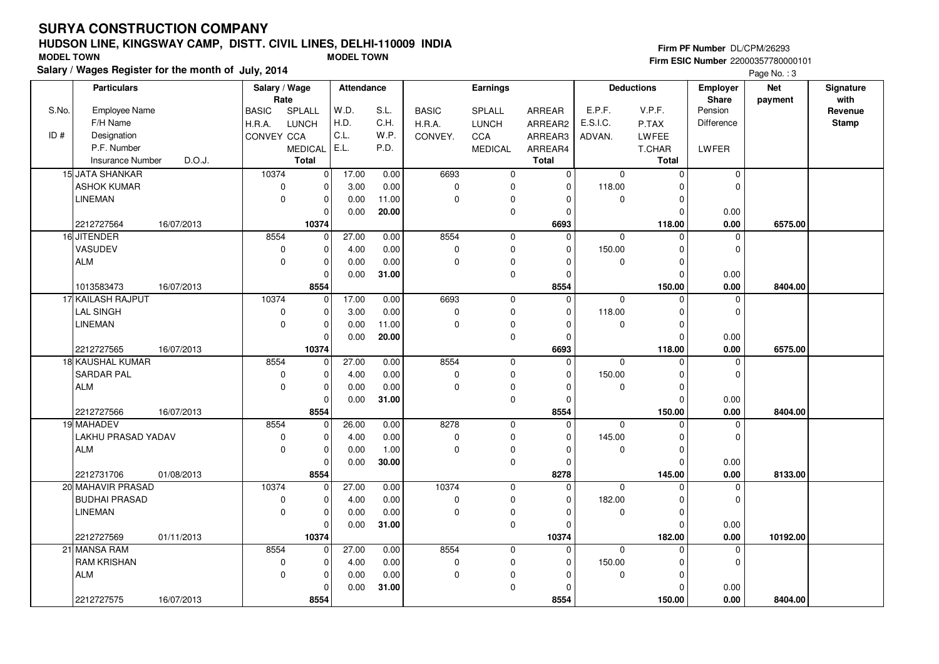#### **HUDSON LINE, KINGSWAY CAMP, DISTT. CIVIL LINES, DELHI-110009 INDIAFirm ESIC Number** 22000357780000101 **MODEL TOWN MODEL TOWN**

**Salary / Wages Register for the month of July, 2014**

**Firm PF Number** DL/CPM/26293

|       | <b>Particulars</b>                | Salary / Wage<br>Rate  |                | Attendance |       |              | Earnings       |               |             | <b>Deductions</b> | <b>Employer</b><br>Share | <b>Net</b> | Signature<br>with |
|-------|-----------------------------------|------------------------|----------------|------------|-------|--------------|----------------|---------------|-------------|-------------------|--------------------------|------------|-------------------|
| S.No. | <b>Employee Name</b>              | <b>BASIC</b><br>SPLALL |                | W.D.       | S.L.  | <b>BASIC</b> | <b>SPLALL</b>  | <b>ARREAR</b> | E.P.F.      | V.P.F.            | Pension                  | payment    | Revenue           |
|       | F/H Name                          | LUNCH<br>H.R.A.        |                | H.D.       | C.H.  | H.R.A.       | <b>LUNCH</b>   | ARREAR2       | E.S.I.C.    | P.TAX             | Difference               |            | <b>Stamp</b>      |
| ID#   | Designation                       | CONVEY CCA             |                | C.L.       | W.P.  | CONVEY.      | CCA            | ARREAR3       | ADVAN.      | LWFEE             |                          |            |                   |
|       | P.F. Number                       |                        | <b>MEDICAL</b> | E.L.       | P.D.  |              | <b>MEDICAL</b> | ARREAR4       |             | T.CHAR            | LWFER                    |            |                   |
|       | D.O.J.<br><b>Insurance Number</b> | <b>Total</b>           |                |            |       |              |                | <b>Total</b>  |             | Total             |                          |            |                   |
|       | 15 JATA SHANKAR                   | 10374                  | $\mathbf 0$    | 17.00      | 0.00  | 6693         | 0              | $\mathbf 0$   | $\mathbf 0$ | $\Omega$          | $\mathbf 0$              |            |                   |
|       | <b>ASHOK KUMAR</b>                | $\pmb{0}$              | $\mathbf 0$    | 3.00       | 0.00  | $\mathbf 0$  | 0              | 0             | 118.00      | ŋ                 | $\mathbf 0$              |            |                   |
|       | <b>LINEMAN</b>                    | $\mathbf 0$            | $\mathbf 0$    | 0.00       | 11.00 | $\Omega$     | 0              | $\Omega$      | $\mathbf 0$ | $\Omega$          |                          |            |                   |
|       |                                   |                        | $\Omega$       | 0.00       | 20.00 |              | 0              | $\Omega$      |             |                   | 0.00                     |            |                   |
|       | 2212727564<br>16/07/2013          |                        | 10374          |            |       |              |                | 6693          |             | 118.00            | 0.00                     | 6575.00    |                   |
|       | 16 JITENDER                       | 8554                   | $\mathbf 0$    | 27.00      | 0.00  | 8554         | $\mathbf 0$    | $\Omega$      | $\mathbf 0$ | $\Omega$          | $\mathbf 0$              |            |                   |
|       | VASUDEV                           | $\mathbf 0$            | $\mathbf 0$    | 4.00       | 0.00  | $\pmb{0}$    | 0              | $\Omega$      | 150.00      | O                 | $\mathbf 0$              |            |                   |
|       | <b>ALM</b>                        | $\mathbf 0$            | $\mathbf 0$    | 0.00       | 0.00  | $\mathbf 0$  | 0              | $\Omega$      | $\mathbf 0$ |                   |                          |            |                   |
|       |                                   |                        | $\Omega$       | 0.00       | 31.00 |              | 0              | $\Omega$      |             | O                 | 0.00                     |            |                   |
|       | 1013583473<br>16/07/2013          |                        | 8554           |            |       |              |                | 8554          |             | 150.00            | 0.00                     | 8404.00    |                   |
|       | 17 KAILASH RAJPUT                 | 10374                  | $\mathbf 0$    | 17.00      | 0.00  | 6693         | $\mathbf 0$    | $\mathbf 0$   | $\mathbf 0$ | $\Omega$          | 0                        |            |                   |
|       | <b>LAL SINGH</b>                  | $\pmb{0}$              | $\mathbf 0$    | 3.00       | 0.00  | $\mathbf 0$  | 0              | $\Omega$      | 118.00      |                   | $\mathbf 0$              |            |                   |
|       | <b>LINEMAN</b>                    | $\mathbf 0$            | $\mathbf 0$    | 0.00       | 11.00 | $\Omega$     | 0              | $\Omega$      | $\mathbf 0$ | $\Omega$          |                          |            |                   |
|       |                                   |                        | $\mathbf 0$    | 0.00       | 20.00 |              | $\mathbf 0$    | $\Omega$      |             | $\Omega$          | 0.00                     |            |                   |
|       | 2212727565<br>16/07/2013          |                        | 10374          |            |       |              |                | 6693          |             | 118.00            | 0.00                     | 6575.00    |                   |
|       | 18 KAUSHAL KUMAR                  | 8554                   | $\mathbf 0$    | 27.00      | 0.00  | 8554         | 0              | $\Omega$      | $\mathbf 0$ | $\Omega$          | 0                        |            |                   |
|       | <b>SARDAR PAL</b>                 | $\mathbf 0$            | $\mathbf 0$    | 4.00       | 0.00  | 0            | 0              | $\Omega$      | 150.00      | <sup>0</sup>      | $\mathbf 0$              |            |                   |
|       | <b>ALM</b>                        | $\mathbf 0$            | $\mathbf 0$    | 0.00       | 0.00  | $\Omega$     | 0              | $\Omega$      | $\mathbf 0$ |                   |                          |            |                   |
|       |                                   |                        | $\Omega$       | 0.00       | 31.00 |              | $\mathbf 0$    | $\Omega$      |             |                   | 0.00                     |            |                   |
|       | 2212727566<br>16/07/2013          |                        | 8554           |            |       |              |                | 8554          |             | 150.00            | 0.00                     | 8404.00    |                   |
|       | 19 MAHADEV                        | 8554                   | $\mathbf 0$    | 26.00      | 0.00  | 8278         | 0              | $\Omega$      | $\Omega$    |                   | 0                        |            |                   |
|       | LAKHU PRASAD YADAV                | $\mathbf 0$            | $\mathbf 0$    | 4.00       | 0.00  | $\mathbf 0$  | 0              | O             | 145.00      |                   | $\mathbf 0$              |            |                   |
|       | <b>ALM</b>                        | $\mathbf 0$            | $\mathbf 0$    | 0.00       | 1.00  | $\Omega$     | 0              | $\Omega$      | $\mathbf 0$ | $\Omega$          |                          |            |                   |
|       |                                   |                        | $\mathbf 0$    | 0.00       | 30.00 |              | 0              | $\Omega$      |             | $\Omega$          | 0.00                     |            |                   |
|       | 2212731706<br>01/08/2013          |                        | 8554           |            |       |              |                | 8278          |             | 145.00            | 0.00                     | 8133.00    |                   |
|       | 20 MAHAVIR PRASAD                 | 10374                  | $\mathbf 0$    | 27.00      | 0.00  | 10374        | $\mathbf 0$    | $\Omega$      | $\mathbf 0$ |                   | 0                        |            |                   |
|       | <b>BUDHAI PRASAD</b>              | $\pmb{0}$              | $\mathbf 0$    | 4.00       | 0.00  | $\mathbf 0$  | 0              | $\Omega$      | 182.00      | $\Omega$          | $\mathbf 0$              |            |                   |
|       | <b>LINEMAN</b>                    | $\mathbf 0$            | $\mathbf 0$    | 0.00       | 0.00  | 0            | 0              | $\Omega$      | 0           | $\Omega$          |                          |            |                   |
|       |                                   |                        | $\Omega$       | 0.00       | 31.00 |              | 0              | $\Omega$      |             |                   | 0.00                     |            |                   |
|       | 2212727569<br>01/11/2013          |                        | 10374          |            |       |              |                | 10374         |             | 182.00            | 0.00                     | 10192.00   |                   |
|       | 21 MANSA RAM                      | 8554                   | $\mathbf 0$    | 27.00      | 0.00  | 8554         | 0              | $\mathbf 0$   | $\mathbf 0$ | $\Omega$          | $\mathbf 0$              |            |                   |
|       | <b>RAM KRISHAN</b>                | $\pmb{0}$              | $\mathbf 0$    | 4.00       | 0.00  | $\pmb{0}$    | 0              | $\Omega$      | 150.00      | ŋ                 | $\Omega$                 |            |                   |
|       | <b>ALM</b>                        | $\mathbf 0$            | $\mathbf 0$    | 0.00       | 0.00  | $\Omega$     | 0              | O             | $\mathbf 0$ | O                 |                          |            |                   |
|       |                                   |                        | $\Omega$       | 0.00       | 31.00 |              | 0              |               |             |                   | 0.00                     |            |                   |
|       | 2212727575<br>16/07/2013          |                        | 8554           |            |       |              |                | 8554          |             | 150.00            | 0.00                     | 8404.00    |                   |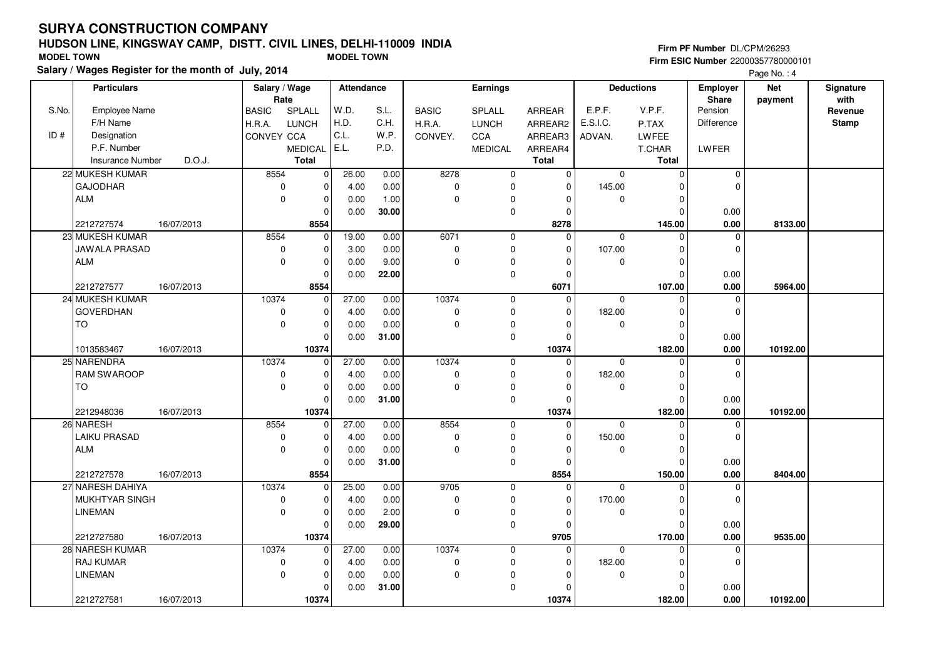#### **HUDSON LINE, KINGSWAY CAMP, DISTT. CIVIL LINES, DELHI-110009 INDIAFirm ESIC Number** 22000357780000101 **MODEL TOWN MODEL TOWN**

**Salary / Wages Register for the month of July, 2014**

**Firm PF Number** DL/CPM/26293

|       | <b>Particulars</b>       |        | Salary / Wage<br>Rate |                | Attendance |       |              | Earnings       |               |             | <b>Deductions</b> | <b>Employer</b><br>Share | <b>Net</b><br>payment | Signature<br>with |
|-------|--------------------------|--------|-----------------------|----------------|------------|-------|--------------|----------------|---------------|-------------|-------------------|--------------------------|-----------------------|-------------------|
| S.No. | Employee Name            |        | <b>BASIC</b>          | SPLALL         | W.D.       | S.L.  | <b>BASIC</b> | SPLALL         | <b>ARREAR</b> | E.P.F.      | V.P.F.            | Pension                  |                       | Revenue           |
|       | F/H Name                 |        | H.R.A.                | <b>LUNCH</b>   | H.D.       | C.H.  | H.R.A.       | <b>LUNCH</b>   | ARREAR2       | E.S.I.C.    | P.TAX             | <b>Difference</b>        |                       | <b>Stamp</b>      |
| ID#   | Designation              |        | CONVEY CCA            |                | C.L.       | W.P.  | CONVEY.      | CCA            | ARREAR3       | ADVAN.      | LWFEE             |                          |                       |                   |
|       | P.F. Number              |        |                       | <b>MEDICAL</b> | E.L.       | P.D.  |              | <b>MEDICAL</b> | ARREAR4       |             | T.CHAR            | LWFER                    |                       |                   |
|       | <b>Insurance Number</b>  | D.O.J. |                       | Total          |            |       |              |                | <b>Total</b>  |             | <b>Total</b>      |                          |                       |                   |
|       | 22 MUKESH KUMAR          |        | 8554                  | $\mathbf 0$    | 26.00      | 0.00  | 8278         | $\mathbf 0$    | $\mathbf 0$   | $\mathbf 0$ | $\mathbf 0$       | $\mathbf 0$              |                       |                   |
|       | <b>GAJODHAR</b>          |        | $\mathbf 0$           | $\mathbf 0$    | 4.00       | 0.00  | $\mathbf 0$  | 0              | $\Omega$      | 145.00      | ŋ                 | $\mathbf 0$              |                       |                   |
|       | ALM                      |        | $\mathbf 0$           | $\pmb{0}$      | 0.00       | 1.00  | $\mathbf 0$  | 0              | $\Omega$      | $\mathbf 0$ | $\Omega$          |                          |                       |                   |
|       |                          |        |                       | $\mathbf 0$    | 0.00       | 30.00 |              | 0              | $\Omega$      |             | O                 | 0.00                     |                       |                   |
|       | 16/07/2013<br>2212727574 |        |                       | 8554           |            |       |              |                | 8278          |             | 145.00            | 0.00                     | 8133.00               |                   |
|       | 23 MUKESH KUMAR          |        | 8554                  | $\mathbf 0$    | 19.00      | 0.00  | 6071         | $\mathbf 0$    | $\Omega$      | 0           | $\Omega$          | $\mathbf 0$              |                       |                   |
|       | JAWALA PRASAD            |        | $\mathbf 0$           | $\mathbf 0$    | 3.00       | 0.00  | $\mathbf 0$  | $\mathbf 0$    | $\Omega$      | 107.00      | O                 | $\mathbf 0$              |                       |                   |
|       | ALM                      |        | $\mathbf 0$           | $\pmb{0}$      | 0.00       | 9.00  | $\mathbf 0$  | 0              |               | $\mathbf 0$ | $\Omega$          |                          |                       |                   |
|       |                          |        |                       | $\mathbf 0$    | 0.00       | 22.00 |              | 0              | $\Omega$      |             | $\Omega$          | 0.00                     |                       |                   |
|       | 2212727577<br>16/07/2013 |        |                       | 8554           |            |       |              |                | 6071          |             | 107.00            | 0.00                     | 5964.00               |                   |
|       | 24 MUKESH KUMAR          |        | 10374                 | $\mathbf{0}$   | 27.00      | 0.00  | 10374        | $\mathbf 0$    | $\Omega$      | $\mathbf 0$ | $\Omega$          | $\mathbf 0$              |                       |                   |
|       | <b>GOVERDHAN</b>         |        | $\mathbf 0$           | $\mathbf 0$    | 4.00       | 0.00  | $\mathbf 0$  | 0              | $\Omega$      | 182.00      | $\Omega$          | $\mathbf 0$              |                       |                   |
|       | <b>TO</b>                |        | $\Omega$              | $\pmb{0}$      | 0.00       | 0.00  | $\Omega$     | 0              | $\Omega$      | $\mathbf 0$ | O                 |                          |                       |                   |
|       |                          |        |                       | $\mathbf 0$    | 0.00       | 31.00 |              | 0              | $\Omega$      |             | $\Omega$          | 0.00                     |                       |                   |
|       | 1013583467<br>16/07/2013 |        |                       | 10374          |            |       |              |                | 10374         |             | 182.00            | 0.00                     | 10192.00              |                   |
|       | 25 NARENDRA              |        | 10374                 | $\mathbf 0$    | 27.00      | 0.00  | 10374        | $\mathbf 0$    | $\Omega$      | $\mathbf 0$ | $\Omega$          | $\mathbf 0$              |                       |                   |
|       | <b>RAM SWAROOP</b>       |        | $\mathbf 0$           | $\mathbf 0$    | 4.00       | 0.00  | $\mathbf 0$  | 0              | $\Omega$      | 182.00      | O                 | $\mathbf 0$              |                       |                   |
|       | <b>TO</b>                |        | $\mathbf 0$           | $\mathbf 0$    | 0.00       | 0.00  | $\mathbf 0$  | 0              |               | $\mathbf 0$ | $\Omega$          |                          |                       |                   |
|       |                          |        |                       | $\mathbf 0$    | 0.00       | 31.00 |              | $\mathbf 0$    | $\Omega$      |             | $\Omega$          | 0.00                     |                       |                   |
|       | 2212948036<br>16/07/2013 |        |                       | 10374          |            |       |              |                | 10374         |             | 182.00            | 0.00                     | 10192.00              |                   |
|       | 26 NARESH                |        | 8554                  | $\mathbf 0$    | 27.00      | 0.00  | 8554         | $\mathbf 0$    | $\mathbf 0$   | $\mathbf 0$ | $\Omega$          | $\mathbf 0$              |                       |                   |
|       | <b>LAIKU PRASAD</b>      |        | $\mathbf 0$           | $\mathbf 0$    | 4.00       | 0.00  | $\pmb{0}$    | $\mathbf 0$    | $\Omega$      | 150.00      | O                 | $\mathbf 0$              |                       |                   |
|       | ALM                      |        | $\mathbf 0$           | $\mathbf 0$    | 0.00       | 0.00  | $\Omega$     | 0              | $\Omega$      | $\mathbf 0$ | $\Omega$          |                          |                       |                   |
|       |                          |        |                       | $\mathbf 0$    | 0.00       | 31.00 |              | $\mathbf 0$    | $\Omega$      |             | O                 | 0.00                     |                       |                   |
|       | 2212727578<br>16/07/2013 |        |                       | 8554           |            |       |              |                | 8554          |             | 150.00            | 0.00                     | 8404.00               |                   |
|       | 27 NARESH DAHIYA         |        | 10374                 | $\mathbf 0$    | 25.00      | 0.00  | 9705         | $\mathbf 0$    | $\Omega$      | $\mathbf 0$ | $\Omega$          | $\mathbf 0$              |                       |                   |
|       | MUKHTYAR SINGH           |        | $\mathbf 0$           | $\mathbf 0$    | 4.00       | 0.00  | $\mathbf 0$  | 0              | $\Omega$      | 170.00      | U                 | $\mathbf 0$              |                       |                   |
|       | <b>LINEMAN</b>           |        | $\mathbf 0$           | $\mathbf 0$    | 0.00       | 2.00  | $\Omega$     | 0              | $\Omega$      | $\mathbf 0$ | O                 |                          |                       |                   |
|       |                          |        |                       | $\mathbf 0$    | 0.00       | 29.00 |              | 0              | $\Omega$      |             | $\Omega$          | 0.00                     |                       |                   |
|       | 2212727580<br>16/07/2013 |        |                       | 10374          |            |       |              |                | 9705          |             | 170.00            | 0.00                     | 9535.00               |                   |
|       | 28 NARESH KUMAR          |        | 10374                 | $\mathbf{0}$   | 27.00      | 0.00  | 10374        | $\mathbf 0$    | $\Omega$      | $\mathbf 0$ | $\Omega$          | $\mathbf 0$              |                       |                   |
|       | <b>RAJ KUMAR</b>         |        | $\mathbf 0$           | $\mathbf 0$    | 4.00       | 0.00  | $\mathbf 0$  | $\mathbf 0$    | $\Omega$      | 182.00      |                   | $\mathbf 0$              |                       |                   |
|       | <b>LINEMAN</b>           |        | $\mathbf 0$           | $\pmb{0}$      | 0.00       | 0.00  | $\mathbf 0$  | 0              | ∩             | 0           | ŋ                 |                          |                       |                   |
|       |                          |        |                       | $\mathbf 0$    | 0.00       | 31.00 |              | $\pmb{0}$      |               |             |                   | 0.00                     |                       |                   |
|       | 2212727581<br>16/07/2013 |        |                       | 10374          |            |       |              |                | 10374         |             | 182.00            | 0.00                     | 10192.00              |                   |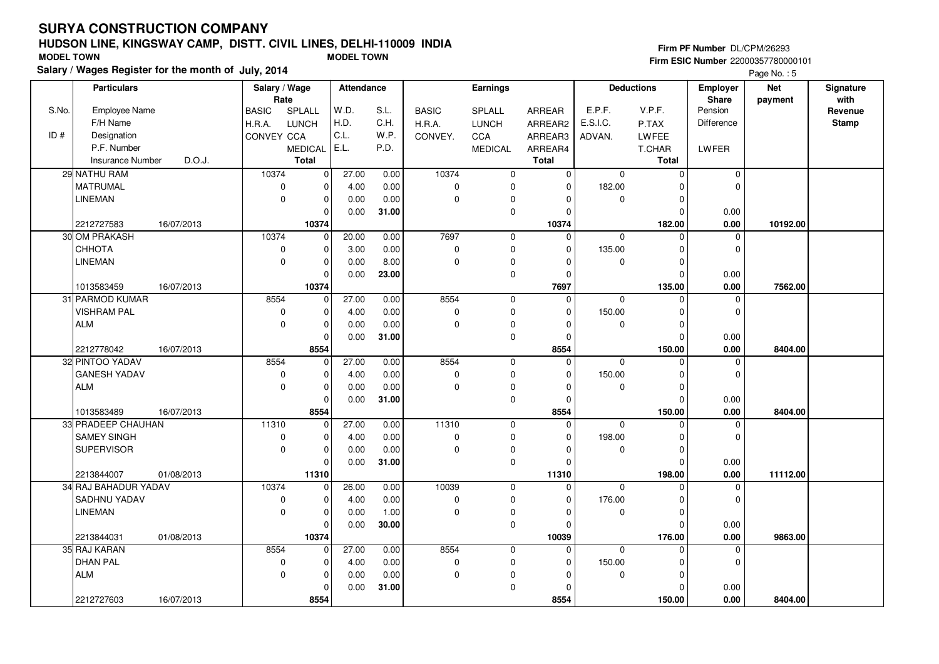#### **HUDSON LINE, KINGSWAY CAMP, DISTT. CIVIL LINES, DELHI-110009 INDIAFirm ESIC Number** 22000357780000101 **MODEL TOWN MODEL TOWN**

**Salary / Wages Register for the month of July, 2014**

**Firm PF Number** DL/CPM/26293

|       | <b>Particulars</b>                               | Salary / Wage<br>Rate |                        | <b>Attendance</b> |       |                | Earnings       |                      |             | <b>Deductions</b>  | Employer<br>Share | <b>Net</b> | Signature<br>with |
|-------|--------------------------------------------------|-----------------------|------------------------|-------------------|-------|----------------|----------------|----------------------|-------------|--------------------|-------------------|------------|-------------------|
| S.No. | <b>Employee Name</b>                             | <b>BASIC</b>          | SPLALL                 | W.D.              | S.L.  | <b>BASIC</b>   | SPLALL         | ARREAR               | E.P.F.      | V.P.F.             | Pension           | payment    | Revenue           |
|       | F/H Name                                         | H.R.A.                | <b>LUNCH</b>           | H.D.              | C.H.  | H.R.A.         | <b>LUNCH</b>   | ARREAR2              | E.S.I.C.    | P.TAX              | <b>Difference</b> |            | <b>Stamp</b>      |
| ID#   | Designation                                      | CONVEY CCA            |                        | C.L.              | W.P.  | CONVEY.        | CCA            | ARREAR3              | ADVAN.      | LWFEE              |                   |            |                   |
|       | P.F. Number                                      |                       | <b>MEDICAL</b>         | E.L.              | P.D.  |                | <b>MEDICAL</b> | ARREAR4              |             | T.CHAR             | LWFER             |            |                   |
|       | <b>Insurance Number</b><br>D.O.J.                |                       | <b>Total</b>           |                   |       |                |                | <b>Total</b>         |             | <b>Total</b>       |                   |            |                   |
|       | 29 NATHU RAM                                     | 10374                 | $\mathbf 0$            | 27.00             | 0.00  | 10374          | $\mathbf 0$    | $\mathbf 0$          | 0           | $\mathbf 0$        | $\overline{0}$    |            |                   |
|       | MATRUMAL                                         | 0                     | $\mathbf 0$            | 4.00              | 0.00  | $\mathbf 0$    | $\mathbf 0$    | $\Omega$             | 182.00      | O                  | $\Omega$          |            |                   |
|       | <b>LINEMAN</b>                                   | $\mathbf 0$           | $\pmb{0}$              | 0.00              | 0.00  | $\Omega$       | 0              | 0                    | 0           | $\Omega$           |                   |            |                   |
|       |                                                  |                       | $\mathbf 0$            | 0.00              | 31.00 |                | 0              | $\Omega$             |             | $\Omega$           | 0.00              |            |                   |
|       | 2212727583<br>16/07/2013                         |                       | 10374                  |                   |       |                |                | 10374                |             | 182.00             | 0.00              | 10192.00   |                   |
|       | 30 OM PRAKASH                                    | 10374                 | $\mathbf 0$            | 20.00             | 0.00  | 7697           | $\mathbf 0$    | $\Omega$             | $\mathbf 0$ | $\Omega$           | $\mathbf 0$       |            |                   |
|       | CHHOTA                                           | $\mathbf 0$           | $\mathbf 0$            | 3.00              | 0.00  | $\pmb{0}$      | $\mathbf 0$    | $\Omega$             | 135.00      | $\Omega$           | $\mathbf 0$       |            |                   |
|       | <b>LINEMAN</b>                                   | $\mathbf 0$           | $\mathbf 0$            | 0.00              | 8.00  | $\Omega$       | 0              | $\Omega$             | 0           | $\Omega$           |                   |            |                   |
|       |                                                  |                       | $\mathbf 0$            |                   |       |                |                | $\Omega$             |             |                    |                   |            |                   |
|       | 16/07/2013                                       |                       | 10374                  | 0.00              | 23.00 |                | $\mathbf 0$    | 7697                 |             | $\Omega$<br>135.00 | 0.00<br>0.00      | 7562.00    |                   |
|       | 1013583459<br>31 PARMOD KUMAR                    | 8554                  | $\overline{0}$         | 27.00             | 0.00  | 8554           | $\mathbf 0$    | $\Omega$             | $\mathbf 0$ | $\Omega$           | $\mathbf 0$       |            |                   |
|       | <b>VISHRAM PAL</b>                               | $\mathbf 0$           |                        |                   | 0.00  | $\mathbf 0$    | 0              | $\Omega$             | 150.00      | O                  | $\mathbf 0$       |            |                   |
|       | <b>ALM</b>                                       | $\mathbf 0$           | $\mathbf 0$            | 4.00              | 0.00  | $\mathbf 0$    |                | $\Omega$             |             | $\Omega$           |                   |            |                   |
|       |                                                  |                       | $\pmb{0}$<br>$\pmb{0}$ | 0.00<br>0.00      | 31.00 |                | 0              | $\Omega$             | 0           | $\Omega$           | 0.00              |            |                   |
|       | 2212778042<br>16/07/2013                         |                       | 8554                   |                   |       |                | $\mathsf 0$    | 8554                 |             | 150.00             | 0.00              | 8404.00    |                   |
|       | 32 PINTOO YADAV                                  | 8554                  | $\mathbf 0$            | 27.00             | 0.00  | 8554           | $\mathbf 0$    | $\Omega$             | $\mathbf 0$ | $\Omega$           | 0                 |            |                   |
|       | <b>GANESH YADAV</b>                              | $\mathbf 0$           | $\mathbf 0$            | 4.00              | 0.00  | $\mathbf 0$    | $\mathbf 0$    | $\Omega$             | 150.00      | $\Omega$           | $\mathbf 0$       |            |                   |
|       | ALM                                              | $\mathbf 0$           | $\pmb{0}$              |                   | 0.00  | $\overline{0}$ | 0              | $\Omega$             | 0           | n                  |                   |            |                   |
|       |                                                  |                       | $\mathbf 0$            | 0.00<br>0.00      | 31.00 |                | $\mathbf 0$    | $\Omega$             |             | O                  | 0.00              |            |                   |
|       | 1013583489<br>16/07/2013                         |                       | 8554                   |                   |       |                |                | 8554                 |             | 150.00             | 0.00              | 8404.00    |                   |
|       | 33 PRADEEP CHAUHAN                               | 11310                 | $\mathbf 0$            | 27.00             | 0.00  | 11310          | $\mathbf 0$    | $\Omega$             | $\mathbf 0$ |                    | $\mathbf 0$       |            |                   |
|       | <b>SAMEY SINGH</b>                               | $\mathbf 0$           | $\pmb{0}$              | 4.00              | 0.00  | $\mathbf 0$    | 0              | $\Omega$             | 198.00      |                    | $\mathbf 0$       |            |                   |
|       | <b>SUPERVISOR</b>                                | $\mathbf 0$           | $\mathbf 0$            | 0.00              | 0.00  | $\Omega$       | 0              | $\Omega$             | $\mathbf 0$ | $\Omega$           |                   |            |                   |
|       |                                                  |                       | $\mathbf 0$            | 0.00              | 31.00 |                | 0              | $\Omega$             |             | $\Omega$           | 0.00              |            |                   |
|       |                                                  |                       |                        |                   |       |                |                |                      |             |                    |                   |            |                   |
|       | 2213844007<br>01/08/2013<br>34 RAJ BAHADUR YADAV | 10374                 | 11310<br>$\mathbf 0$   | 26.00             | 0.00  | 10039          | $\mathbf 0$    | 11310<br>$\mathbf 0$ | $\mathbf 0$ | 198.00<br>$\Omega$ | 0.00<br>0         | 11112.00   |                   |
|       | <b>SADHNU YADAV</b>                              | $\mathbf 0$           | $\mathbf 0$            | 4.00              | 0.00  | $\mathbf 0$    | $\mathbf 0$    | $\Omega$             | 176.00      | $\Omega$           | $\Omega$          |            |                   |
|       | <b>LINEMAN</b>                                   | $\mathbf 0$           | $\mathbf 0$            |                   | 1.00  | $\Omega$       |                |                      |             | $\Omega$           |                   |            |                   |
|       |                                                  |                       |                        | 0.00              |       |                | 0              | $\Omega$             | 0           |                    |                   |            |                   |
|       |                                                  |                       | $\mathbf 0$            | 0.00              | 30.00 |                | 0              | $\Omega$             |             | O                  | 0.00              |            |                   |
|       | 2213844031<br>01/08/2013                         |                       | 10374                  |                   |       |                |                | 10039                |             | 176.00             | 0.00              | 9863.00    |                   |
|       | 35 RAJ KARAN                                     | 8554                  | $\mathbf 0$            | 27.00             | 0.00  | 8554           | $\mathbf 0$    | $\Omega$             | $\mathbf 0$ | $\Omega$           | $\mathbf 0$       |            |                   |
|       | <b>DHAN PAL</b>                                  | $\mathbf 0$           | $\mathbf 0$            | 4.00              | 0.00  | $\mathbf 0$    | $\mathbf 0$    | $\Omega$             | 150.00      | $\Omega$           | $\mathbf 0$       |            |                   |
|       | <b>ALM</b>                                       | $\mathbf 0$           | $\mathbf 0$            | 0.00              | 0.00  | $\mathbf 0$    | 0              |                      | 0           | O                  |                   |            |                   |
|       |                                                  |                       | $\mathbf 0$            | 0.00              | 31.00 |                | 0              | $\Omega$             |             | O                  | 0.00              |            |                   |
|       | 2212727603<br>16/07/2013                         |                       | 8554                   |                   |       |                |                | 8554                 |             | 150.00             | 0.00              | 8404.00    |                   |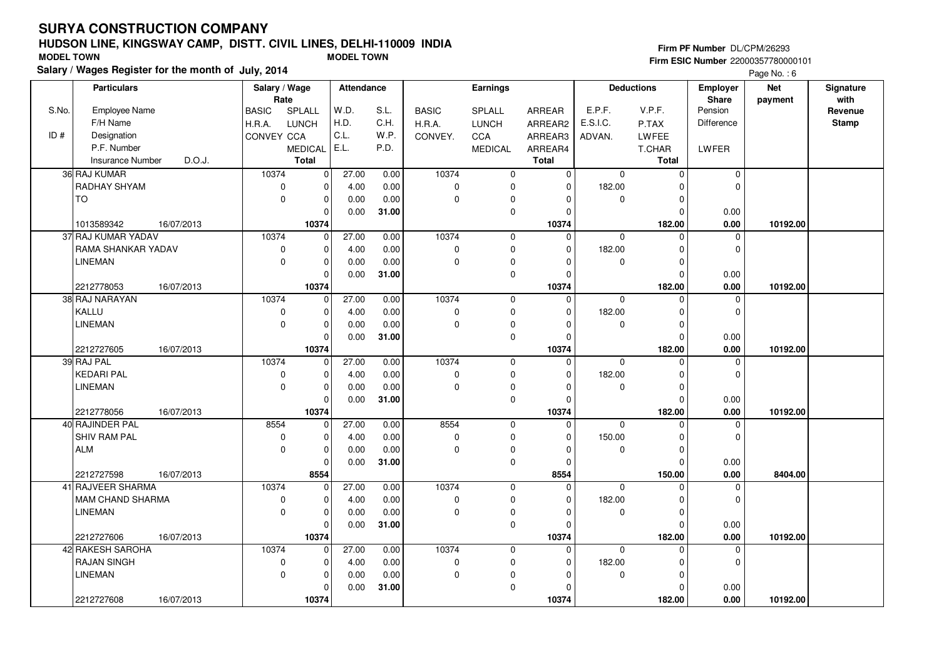#### **HUDSON LINE, KINGSWAY CAMP, DISTT. CIVIL LINES, DELHI-110009 INDIAFirm ESIC Number** 22000357780000101 **MODEL TOWN MODEL TOWN**

**Salary / Wages Register for the month of July, 2014**

**Firm PF Number** DL/CPM/26293

|       | <b>Particulars</b>                | Salary / Wage<br>Rate |                | Attendance |       |              | Earnings       |               |             | <b>Deductions</b> | <b>Employer</b><br>Share | <b>Net</b> | Signature<br>with |
|-------|-----------------------------------|-----------------------|----------------|------------|-------|--------------|----------------|---------------|-------------|-------------------|--------------------------|------------|-------------------|
| S.No. | Employee Name                     | <b>BASIC</b>          | SPLALL         | W.D.       | S.L.  | <b>BASIC</b> | <b>SPLALL</b>  | <b>ARREAR</b> | E.P.F.      | V.P.F.            | Pension                  | payment    | Revenue           |
|       | F/H Name                          | H.R.A.                | LUNCH          | H.D.       | C.H.  | H.R.A.       | <b>LUNCH</b>   | ARREAR2       | E.S.I.C.    | P.TAX             | Difference               |            | <b>Stamp</b>      |
| ID#   | Designation                       | CONVEY CCA            |                | C.L.       | W.P.  | CONVEY.      | CCA            | ARREAR3       | ADVAN.      | LWFEE             |                          |            |                   |
|       | P.F. Number                       |                       | <b>MEDICAL</b> | E.L.       | P.D.  |              | <b>MEDICAL</b> | ARREAR4       |             | T.CHAR            | LWFER                    |            |                   |
|       | D.O.J.<br><b>Insurance Number</b> |                       | <b>Total</b>   |            |       |              |                | <b>Total</b>  |             | Total             |                          |            |                   |
|       | 36 RAJ KUMAR                      | 10374                 | $\mathbf 0$    | 27.00      | 0.00  | 10374        | 0              | $\mathbf 0$   | $\mathbf 0$ | $\Omega$          | $\mathbf 0$              |            |                   |
|       | RADHAY SHYAM                      | $\pmb{0}$             | $\mathbf 0$    | 4.00       | 0.00  | $\mathbf 0$  | 0              | 0             | 182.00      | ŋ                 | $\mathbf 0$              |            |                   |
|       | <b>TO</b>                         | $\mathbf 0$           | $\mathbf 0$    | 0.00       | 0.00  | $\Omega$     | 0              | O             | $\mathbf 0$ | $\Omega$          |                          |            |                   |
|       |                                   |                       | $\Omega$       | 0.00       | 31.00 |              | 0              | $\Omega$      |             |                   | 0.00                     |            |                   |
|       | 1013589342<br>16/07/2013          |                       | 10374          |            |       |              |                | 10374         |             | 182.00            | 0.00                     | 10192.00   |                   |
|       | 37 RAJ KUMAR YADAV                | 10374                 | $\mathbf 0$    | 27.00      | 0.00  | 10374        | $\mathbf 0$    | $\Omega$      | $\mathbf 0$ | U                 | $\mathbf 0$              |            |                   |
|       | RAMA SHANKAR YADAV                | $\mathbf 0$           | $\mathbf 0$    | 4.00       | 0.00  | $\mathbf 0$  | 0              | $\Omega$      | 182.00      | O                 | $\mathbf 0$              |            |                   |
|       | <b>LINEMAN</b>                    | $\mathbf 0$           | $\mathbf 0$    | 0.00       | 0.00  | $\mathbf 0$  | 0              | O             | 0           |                   |                          |            |                   |
|       |                                   |                       | $\Omega$       | 0.00       | 31.00 |              | 0              | O             |             | O                 | 0.00                     |            |                   |
|       | 2212778053<br>16/07/2013          |                       | 10374          |            |       |              |                | 10374         |             | 182.00            | 0.00                     | 10192.00   |                   |
|       | 38 RAJ NARAYAN                    | 10374                 | $\mathbf 0$    | 27.00      | 0.00  | 10374        | $\mathbf 0$    | $\mathbf 0$   | $\mathbf 0$ | $\Omega$          | 0                        |            |                   |
|       | KALLU                             | 0                     | 0              | 4.00       | 0.00  | $\mathbf 0$  | 0              | $\Omega$      | 182.00      |                   | $\mathbf 0$              |            |                   |
|       | <b>LINEMAN</b>                    | $\mathbf 0$           | $\mathbf 0$    | 0.00       | 0.00  | $\Omega$     | 0              | $\Omega$      | $\mathbf 0$ | $\Omega$          |                          |            |                   |
|       |                                   |                       | $\mathbf 0$    | 0.00       | 31.00 |              | $\mathbf 0$    | $\Omega$      |             | $\Omega$          | 0.00                     |            |                   |
|       | 2212727605<br>16/07/2013          |                       | 10374          |            |       |              |                | 10374         |             | 182.00            | $0.00\,$                 | 10192.00   |                   |
|       | 39 RAJ PAL                        | 10374                 | $\mathbf 0$    | 27.00      | 0.00  | 10374        | 0              | $\Omega$      | $\mathbf 0$ | $\Omega$          | 0                        |            |                   |
|       | <b>KEDARI PAL</b>                 | $\mathbf 0$           | $\mathbf 0$    | 4.00       | 0.00  | 0            | 0              | $\Omega$      | 182.00      | O                 | $\mathbf 0$              |            |                   |
|       | <b>LINEMAN</b>                    | $\mathbf 0$           | $\mathbf 0$    | 0.00       | 0.00  | $\Omega$     | 0              | $\Omega$      | $\mathbf 0$ |                   |                          |            |                   |
|       |                                   |                       | $\Omega$       | 0.00       | 31.00 |              | 0              | $\Omega$      |             |                   | 0.00                     |            |                   |
|       | 2212778056<br>16/07/2013          |                       | 10374          |            |       |              |                | 10374         |             | 182.00            | 0.00                     | 10192.00   |                   |
|       | 40 RAJINDER PAL                   | 8554                  | $\mathbf 0$    | 27.00      | 0.00  | 8554         | 0              | $\Omega$      | $\Omega$    |                   | $\mathbf 0$              |            |                   |
|       | <b>SHIV RAM PAL</b>               | $\mathbf 0$           | $\Omega$       | 4.00       | 0.00  | $\mathbf 0$  | 0              | O             | 150.00      |                   | $\mathbf 0$              |            |                   |
|       | <b>ALM</b>                        | $\mathbf 0$           | $\mathbf 0$    | 0.00       | 0.00  | $\Omega$     | 0              | $\Omega$      | $\mathbf 0$ | $\Omega$          |                          |            |                   |
|       |                                   |                       | $\mathbf 0$    | 0.00       | 31.00 |              | 0              | $\Omega$      |             | $\Omega$          | 0.00                     |            |                   |
|       | 2212727598<br>16/07/2013          |                       | 8554           |            |       |              |                | 8554          |             | 150.00            | 0.00                     | 8404.00    |                   |
|       | 41 RAJVEER SHARMA                 | 10374                 | $\mathbf 0$    | 27.00      | 0.00  | 10374        | $\mathbf 0$    | $\Omega$      | $\mathbf 0$ |                   | 0                        |            |                   |
|       | <b>MAM CHAND SHARMA</b>           | $\pmb{0}$             | $\mathbf 0$    | 4.00       | 0.00  | $\mathbf 0$  | $\mathbf 0$    | $\Omega$      | 182.00      | $\Omega$          | $\mathbf 0$              |            |                   |
|       | <b>LINEMAN</b>                    | $\mathbf 0$           | $\mathbf 0$    | 0.00       | 0.00  | 0            | 0              | $\Omega$      | 0           | O                 |                          |            |                   |
|       |                                   |                       | $\Omega$       | 0.00       | 31.00 |              | 0              | $\Omega$      |             |                   | 0.00                     |            |                   |
|       | 2212727606<br>16/07/2013          |                       | 10374          |            |       |              |                | 10374         |             | 182.00            | 0.00                     | 10192.00   |                   |
|       | 42 RAKESH SAROHA                  | 10374                 | $\mathbf 0$    | 27.00      | 0.00  | 10374        | 0              | $\mathbf 0$   | $\mathbf 0$ | $\Omega$          | $\mathbf 0$              |            |                   |
|       | <b>RAJAN SINGH</b>                | 0                     | $\mathbf 0$    | 4.00       | 0.00  | 0            | 0              | $\Omega$      | 182.00      | ŋ                 | $\Omega$                 |            |                   |
|       | <b>LINEMAN</b>                    | $\mathbf 0$           | $\mathbf 0$    | 0.00       | 0.00  | $\Omega$     | 0              |               | $\mathbf 0$ | O                 |                          |            |                   |
|       |                                   |                       | $\Omega$       | 0.00       | 31.00 |              | 0              |               |             |                   | 0.00                     |            |                   |
|       | 2212727608<br>16/07/2013          |                       | 10374          |            |       |              |                | 10374         |             | 182.00            | 0.00                     | 10192.00   |                   |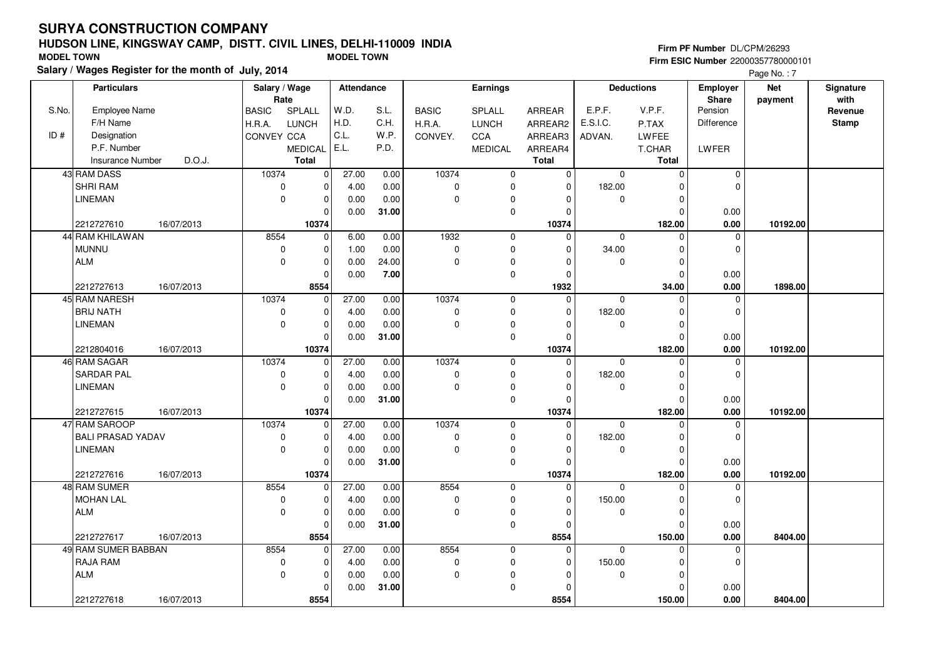#### **HUDSON LINE, KINGSWAY CAMP, DISTT. CIVIL LINES, DELHI-110009 INDIAFirm ESIC Number** 22000357780000101 **MODEL TOWN MODEL TOWN**

**Salary / Wages Register for the month of July, 2014**

**Firm PF Number** DL/CPM/26293

|       | <b>Particulars</b>                        | Salary / Wage |                      | Attendance |              |                       | Earnings       |                         |             | <b>Deductions</b>       | Employer            | <b>Net</b> | Signature    |
|-------|-------------------------------------------|---------------|----------------------|------------|--------------|-----------------------|----------------|-------------------------|-------------|-------------------------|---------------------|------------|--------------|
| S.No. |                                           | Rate          |                      | W.D.       |              |                       |                |                         | E.P.F.      | V.P.F.                  | Share<br>Pension    | payment    | with         |
|       | Employee Name                             | <b>BASIC</b>  | SPLALL               | H.D.       | S.L.<br>C.H. | <b>BASIC</b>          | SPLALL         | <b>ARREAR</b>           | E.S.I.C.    |                         |                     |            | Revenue      |
| ID#   | F/H Name                                  | H.R.A.        | <b>LUNCH</b>         | C.L.       | W.P.         | H.R.A.                | <b>LUNCH</b>   | ARREAR2                 |             | P.TAX                   | Difference          |            | <b>Stamp</b> |
|       | Designation<br>P.F. Number                | CONVEY CCA    |                      | E.L.       |              | CONVEY.               | CCA            | ARREAR3                 | ADVAN.      | LWFEE                   |                     |            |              |
|       |                                           |               | <b>MEDICAL</b>       |            | P.D.         |                       | <b>MEDICAL</b> | ARREAR4                 |             | T.CHAR                  | LWFER               |            |              |
|       | D.O.J.<br><b>Insurance Number</b>         |               | <b>Total</b>         |            |              |                       |                | <b>Total</b>            |             | Total                   |                     |            |              |
|       | 43 RAM DASS                               | 10374         | $\mathbf 0$          | 27.00      | 0.00         | 10374                 | 0              | 0                       | 0           | $\mathbf 0$             | $\mathbf 0$         |            |              |
|       | SHRI RAM                                  | $\mathbf 0$   | $\mathbf 0$          | 4.00       | 0.00         | $\pmb{0}$             | 0              | $\mathbf 0$             | 182.00      | $\Omega$                | $\mathbf 0$         |            |              |
|       | <b>LINEMAN</b>                            | $\mathbf 0$   | $\mathbf 0$          | 0.00       | 0.00         | $\mathbf 0$           | 0              | $\Omega$                | 0           | $\Omega$                |                     |            |              |
|       |                                           |               | $\mathbf 0$          | 0.00       | 31.00        |                       | $\mathbf 0$    | $\Omega$                |             | $\Omega$                | 0.00                |            |              |
|       | 2212727610<br>16/07/2013                  |               | 10374                |            |              |                       |                | 10374                   |             | 182.00                  | 0.00                | 10192.00   |              |
|       | 44 RAM KHILAWAN                           | 8554          | $\overline{0}$       | 6.00       | 0.00         | 1932                  | $\mathbf 0$    | $\mathbf 0$             | $\mathbf 0$ | $\Omega$                | 0                   |            |              |
|       | <b>MUNNU</b>                              | $\mathbf 0$   | $\mathbf 0$          | 1.00       | 0.00         | $\pmb{0}$             | $\mathsf 0$    | $\Omega$                | 34.00       | $\Omega$                | $\mathbf 0$         |            |              |
|       | <b>ALM</b>                                | $\mathbf 0$   | $\mathbf 0$          | 0.00       | 24.00        | $\mathbf 0$           | $\mathbf 0$    | $\Omega$                | 0           | $\Omega$                |                     |            |              |
|       |                                           |               | $\mathbf 0$          | 0.00       | 7.00         |                       | $\mathbf 0$    | $\Omega$                |             | $\Omega$                | 0.00                |            |              |
|       | 2212727613<br>16/07/2013<br>45 RAM NARESH | 10374         | 8554                 | 27.00      | 0.00         | 10374                 |                | 1932                    | $\Omega$    | 34.00                   | 0.00                | 1898.00    |              |
|       | <b>BRIJ NATH</b>                          |               | $\mathbf 0$          |            |              |                       | $\mathbf 0$    | $\mathbf 0$<br>$\Omega$ |             | $\Omega$<br>$\Omega$    | 0                   |            |              |
|       |                                           | $\mathbf 0$   | $\mathbf 0$          | 4.00       | 0.00         | $\pmb{0}$<br>$\Omega$ | $\mathbf 0$    |                         | 182.00      |                         | $\mathbf 0$         |            |              |
|       | <b>LINEMAN</b>                            | $\mathbf 0$   | $\mathbf 0$          | 0.00       | 0.00         |                       | 0              | $\Omega$                | 0           | $\mathbf 0$<br>$\Omega$ |                     |            |              |
|       |                                           |               | $\mathbf 0$<br>10374 | 0.00       | 31.00        |                       | $\mathbf 0$    | $\Omega$                |             | 182.00                  | 0.00                |            |              |
|       | 2212804016<br>16/07/2013<br>46 RAM SAGAR  | 10374         |                      | 27.00      | 0.00         | 10374                 | $\mathbf 0$    | 10374<br>$\mathbf 0$    | 0           | $\Omega$                | 0.00<br>0           | 10192.00   |              |
|       | <b>SARDAR PAL</b>                         | $\mathbf 0$   | 0<br>$\pmb{0}$       | 4.00       | 0.00         | 0                     | $\mathbf 0$    | $\Omega$                | 182.00      | $\Omega$                | $\mathbf 0$         |            |              |
|       |                                           | $\mathbf 0$   | $\mathbf 0$          |            |              | $\mathbf 0$           |                |                         |             | $\Omega$                |                     |            |              |
|       | <b>LINEMAN</b>                            |               |                      | 0.00       | 0.00         |                       | 0              | $\Omega$                | 0           | $\Omega$                |                     |            |              |
|       | 16/07/2013                                |               | $\mathbf 0$          | 0.00       | 31.00        |                       | $\mathbf 0$    | 0                       |             |                         | 0.00                | 10192.00   |              |
|       | 2212727615<br>47 RAM SAROOP               | 10374         | 10374<br>$\mathbf 0$ | 27.00      | 0.00         | 10374                 | $\mathbf{0}$   | 10374<br>$\mathbf 0$    | $\Omega$    | 182.00<br>$\Omega$      | 0.00<br>$\mathbf 0$ |            |              |
|       | <b>BALI PRASAD YADAV</b>                  | 0             | $\mathbf 0$          | 4.00       | 0.00         | $\pmb{0}$             | $\mathbf 0$    | $\Omega$                | 182.00      | $\Omega$                | $\mathbf 0$         |            |              |
|       | <b>LINEMAN</b>                            | $\mathbf 0$   | $\mathbf 0$          | 0.00       | 0.00         | $\mathbf 0$           | 0              | $\Omega$                | 0           | $\Omega$                |                     |            |              |
|       |                                           |               | $\mathbf 0$          | 0.00       | 31.00        |                       | $\pmb{0}$      | $\Omega$                |             | $\Omega$                | 0.00                |            |              |
|       | 2212727616<br>16/07/2013                  |               | 10374                |            |              |                       |                | 10374                   |             | 182.00                  | 0.00                | 10192.00   |              |
|       | 48 RAM SUMER                              | 8554          | $\mathbf 0$          | 27.00      | 0.00         | 8554                  | $\mathbf 0$    | $\mathbf 0$             | $\Omega$    | $\Omega$                | $\Omega$            |            |              |
|       | <b>MOHAN LAL</b>                          | $\mathbf 0$   | $\mathbf 0$          | 4.00       | 0.00         | $\pmb{0}$             | $\mathbf 0$    | $\Omega$                | 150.00      | $\Omega$                | $\mathbf 0$         |            |              |
|       | <b>ALM</b>                                | $\mathbf 0$   | $\pmb{0}$            | 0.00       | 0.00         | $\mathbf 0$           | 0              | 0                       | 0           | $\Omega$                |                     |            |              |
|       |                                           |               | $\Omega$             | 0.00       | 31.00        |                       | $\mathbf{0}$   | $\Omega$                |             | $\Omega$                | 0.00                |            |              |
|       | 2212727617<br>16/07/2013                  |               | 8554                 |            |              |                       |                | 8554                    |             | 150.00                  | 0.00                | 8404.00    |              |
|       | 49 RAM SUMER BABBAN                       | 8554          | 0                    | 27.00      | 0.00         | 8554                  | $\mathbf 0$    | $\Omega$                | 0           | $\Omega$                | $\mathbf 0$         |            |              |
|       | RAJA RAM                                  | $\pmb{0}$     | $\pmb{0}$            | 4.00       | 0.00         | $\pmb{0}$             | 0              | $\Omega$                | 150.00      | $\Omega$                | $\mathbf 0$         |            |              |
|       | <b>ALM</b>                                | $\mathbf 0$   | $\mathbf 0$          | 0.00       | 0.00         | $\mathbf 0$           | 0              | $\Omega$                | 0           | $\Omega$                |                     |            |              |
|       |                                           |               | $\mathbf 0$          | 0.00       | 31.00        |                       | 0              | $\Omega$                |             | $\Omega$                | 0.00                |            |              |
|       | 2212727618<br>16/07/2013                  |               | 8554                 |            |              |                       |                | 8554                    |             | 150.00                  | 0.00                | 8404.00    |              |
|       |                                           |               |                      |            |              |                       |                |                         |             |                         |                     |            |              |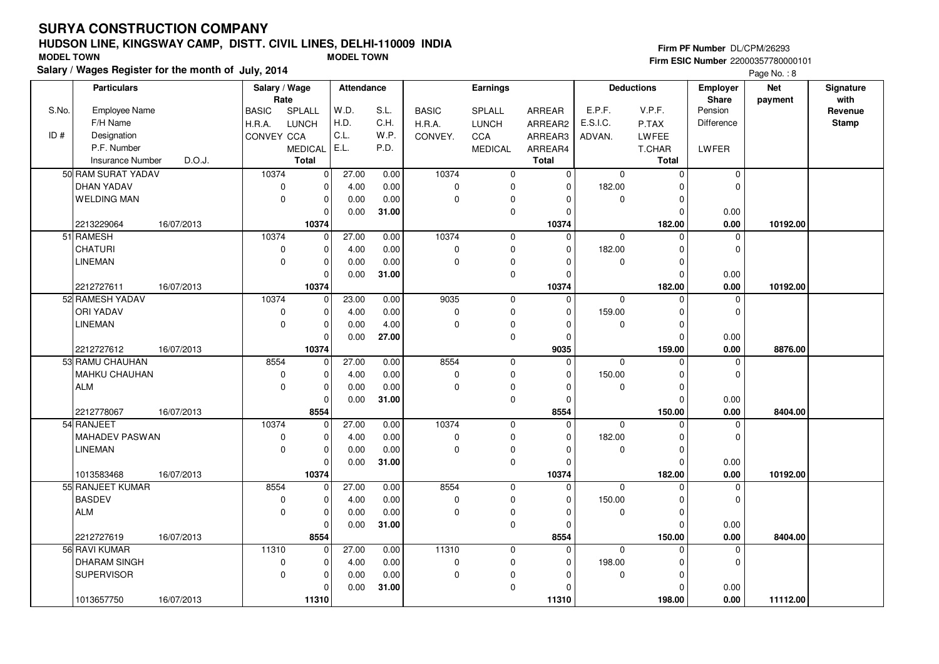#### **HUDSON LINE, KINGSWAY CAMP, DISTT. CIVIL LINES, DELHI-110009 INDIAFirm ESIC Number** 22000357780000101 **MODEL TOWN MODEL TOWN**

**Salary / Wages Register for the month of July, 2014**

**Firm PF Number** DL/CPM/26293

|       | <b>Particulars</b>      |            | Salary / Wage<br>Rate |                | <b>Attendance</b> |       |              | Earnings       |               |             | <b>Deductions</b> | Employer<br>Share | <b>Net</b> | Signature<br>with |
|-------|-------------------------|------------|-----------------------|----------------|-------------------|-------|--------------|----------------|---------------|-------------|-------------------|-------------------|------------|-------------------|
| S.No. | Employee Name           |            | <b>BASIC</b>          | SPLALL         | W.D.              | S.L.  | <b>BASIC</b> | SPLALL         | <b>ARREAR</b> | E.P.F.      | V.P.F.            | Pension           | payment    | Revenue           |
|       | F/H Name                |            | H.R.A.                | <b>LUNCH</b>   | H.D.              | C.H.  | H.R.A.       | <b>LUNCH</b>   | ARREAR2       | E.S.I.C.    | P.TAX             | <b>Difference</b> |            | <b>Stamp</b>      |
| ID#   | Designation             |            | CONVEY CCA            |                | C.L.              | W.P.  | CONVEY.      | CCA            | ARREAR3       | ADVAN.      | LWFEE             |                   |            |                   |
|       | P.F. Number             |            |                       | <b>MEDICAL</b> | E.L.              | P.D.  |              | <b>MEDICAL</b> | ARREAR4       |             | T.CHAR            | LWFER             |            |                   |
|       | <b>Insurance Number</b> | D.O.J.     |                       | <b>Total</b>   |                   |       |              |                | <b>Total</b>  |             | <b>Total</b>      |                   |            |                   |
|       | 50 RAM SURAT YADAV      |            | 10374                 |                | 27.00             | 0.00  | 10374        |                | $\mathbf 0$   | $\mathbf 0$ | $\mathbf 0$       |                   |            |                   |
|       |                         |            |                       | $\mathbf 0$    |                   |       |              | $\mathbf 0$    |               |             |                   | 0                 |            |                   |
|       | DHAN YADAV              |            | $\mathbf 0$           | $\mathbf 0$    | 4.00              | 0.00  | $\mathbf 0$  | 0              | $\Omega$      | 182.00      | $\Omega$          | $\Omega$          |            |                   |
|       | <b>WELDING MAN</b>      |            | $\mathbf 0$           | $\mathbf 0$    | 0.00              | 0.00  | $\Omega$     | 0              | $\Omega$      | $\mathbf 0$ | $\mathbf 0$       |                   |            |                   |
|       |                         |            |                       | $\mathbf 0$    | 0.00              | 31.00 |              | 0              | $\Omega$      |             | $\Omega$          | 0.00              |            |                   |
|       | 2213229064              | 16/07/2013 |                       | 10374          |                   |       |              |                | 10374         |             | 182.00            | 0.00              | 10192.00   |                   |
|       | 51 RAMESH               |            | 10374                 | $\mathbf 0$    | 27.00             | 0.00  | 10374        | $\mathbf{0}$   | $\Omega$      | $\mathbf 0$ | $\Omega$          | $\mathbf 0$       |            |                   |
|       | <b>CHATURI</b>          |            | $\mathbf 0$           | $\mathbf 0$    | 4.00              | 0.00  | $\mathbf 0$  | 0              | $\Omega$      | 182.00      | 0                 | $\mathbf 0$       |            |                   |
|       | <b>LINEMAN</b>          |            | $\mathbf 0$           | $\mathbf 0$    | 0.00              | 0.00  | $\Omega$     | 0              | $\Omega$      | 0           | $\mathbf 0$       |                   |            |                   |
|       |                         |            |                       | $\mathbf 0$    | 0.00              | 31.00 |              | $\mathbf 0$    | $\Omega$      |             | $\mathbf 0$       | 0.00              |            |                   |
|       | 2212727611              | 16/07/2013 |                       | 10374          |                   |       |              |                | 10374         |             | 182.00            | 0.00              | 10192.00   |                   |
|       | 52 RAMESH YADAV         |            | 10374                 | $\mathbf 0$    | 23.00             | 0.00  | 9035         | $\mathbf 0$    | $\Omega$      | $\mathbf 0$ | $\Omega$          | $\mathbf 0$       |            |                   |
|       | <b>ORI YADAV</b>        |            | $\mathbf 0$           | $\mathbf 0$    | 4.00              | 0.00  | $\mathbf 0$  | 0              | $\Omega$      | 159.00      | $\Omega$          | $\Omega$          |            |                   |
|       | <b>LINEMAN</b>          |            | $\mathbf 0$           | $\mathbf 0$    | 0.00              | 4.00  | $\mathbf 0$  | 0              | $\Omega$      | 0           | $\mathbf 0$       |                   |            |                   |
|       |                         |            |                       | $\Omega$       | 0.00              | 27.00 |              | $\mathsf 0$    | $\Omega$      |             | $\Omega$          | 0.00              |            |                   |
|       | 2212727612              | 16/07/2013 |                       | 10374          |                   |       |              |                | 9035          |             | 159.00            | 0.00              | 8876.00    |                   |
|       | 53 RAMU CHAUHAN         |            | 8554                  | $\mathbf 0$    | 27.00             | 0.00  | 8554         | $\mathbf 0$    | $\Omega$      | $\mathbf 0$ | $\mathbf 0$       | $\mathbf 0$       |            |                   |
|       | <b>MAHKU CHAUHAN</b>    |            | $\mathbf 0$           | $\mathbf 0$    | 4.00              | 0.00  | $\mathbf 0$  | $\mathbf 0$    | $\Omega$      | 150.00      | $\mathbf 0$       | $\mathbf 0$       |            |                   |
|       | <b>ALM</b>              |            | $\mathbf 0$           | $\mathbf 0$    | 0.00              | 0.00  | $\Omega$     | 0              | $\Omega$      | 0           | $\mathbf 0$       |                   |            |                   |
|       |                         |            |                       | $\Omega$       | 0.00              | 31.00 |              | $\mathbf{0}$   | $\Omega$      |             | $\Omega$          | 0.00              |            |                   |
|       | 2212778067              | 16/07/2013 |                       | 8554           |                   |       |              |                | 8554          |             | 150.00            | 0.00              | 8404.00    |                   |
|       | 54 RANJEET              |            | 10374                 | $\mathbf 0$    | 27.00             | 0.00  | 10374        | $\mathbf 0$    | $\Omega$      | $\Omega$    | $\Omega$          | $\mathbf 0$       |            |                   |
|       | MAHADEV PASWAN          |            | $\mathbf 0$           | $\mathbf 0$    | 4.00              | 0.00  | $\mathbf 0$  | 0              | $\Omega$      | 182.00      | $\Omega$          | $\Omega$          |            |                   |
|       | <b>LINEMAN</b>          |            | $\mathbf 0$           | $\mathbf 0$    | 0.00              | 0.00  | $\Omega$     | 0              | $\Omega$      | $\mathbf 0$ | $\mathbf 0$       |                   |            |                   |
|       |                         |            |                       | $\mathbf 0$    | 0.00              | 31.00 |              | 0              | $\Omega$      |             | $\mathbf 0$       | 0.00              |            |                   |
|       | 1013583468              | 16/07/2013 |                       | 10374          |                   |       |              |                | 10374         |             | 182.00            | 0.00              | 10192.00   |                   |
|       | 55 RANJEET KUMAR        |            | 8554                  | $\mathbf 0$    | 27.00             | 0.00  | 8554         | $\mathbf 0$    | $\mathbf 0$   | $\mathbf 0$ | $\Omega$          | 0                 |            |                   |
|       | <b>BASDEV</b>           |            | $\pmb{0}$             | $\mathbf 0$    | 4.00              | 0.00  | $\mathbf 0$  | $\mathbf 0$    | $\Omega$      | 150.00      | $\Omega$          | $\Omega$          |            |                   |
|       | <b>ALM</b>              |            | $\mathbf 0$           | $\mathbf 0$    | 0.00              | 0.00  | $\Omega$     | 0              | $\Omega$      | 0           | $\mathbf 0$       |                   |            |                   |
|       |                         |            |                       | $\mathbf 0$    | 0.00              | 31.00 |              | $\pmb{0}$      | $\Omega$      |             | $\Omega$          | 0.00              |            |                   |
|       | 2212727619              | 16/07/2013 |                       | 8554           |                   |       |              |                | 8554          |             | 150.00            | 0.00              | 8404.00    |                   |
|       | 56 RAVI KUMAR           |            | 11310                 | $\mathbf 0$    | 27.00             | 0.00  | 11310        | $\mathbf 0$    | $\Omega$      | $\mathbf 0$ | $\Omega$          | $\mathbf 0$       |            |                   |
|       | DHARAM SINGH            |            | $\mathbf 0$           | $\mathbf 0$    | 4.00              | 0.00  | $\mathbf 0$  | $\mathbf 0$    | $\Omega$      | 198.00      | 0                 | $\Omega$          |            |                   |
|       | SUPERVISOR              |            | $\mathbf 0$           | $\mathbf 0$    | 0.00              | 0.00  | $\Omega$     | 0              | $\Omega$      | 0           | $\mathbf 0$       |                   |            |                   |
|       |                         |            |                       | $\mathbf 0$    | 0.00              | 31.00 |              | $\pmb{0}$      | $\Omega$      |             | $\Omega$          | 0.00              |            |                   |
|       | 1013657750              | 16/07/2013 |                       | 11310          |                   |       |              |                | 11310         |             | 198.00            | 0.00              | 11112.00   |                   |
|       |                         |            |                       |                |                   |       |              |                |               |             |                   |                   |            |                   |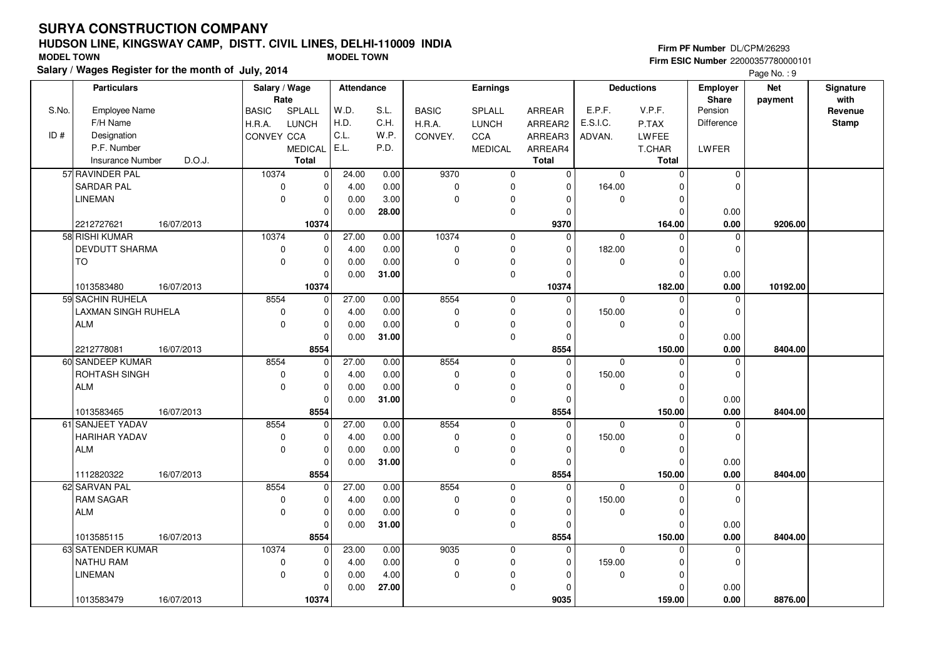#### **HUDSON LINE, KINGSWAY CAMP, DISTT. CIVIL LINES, DELHI-110009 INDIAFirm ESIC Number** 22000357780000101 **MODEL TOWN MODEL TOWN**

**Salary / Wages Register for the month of July, 2014**

**Firm PF Number** DL/CPM/26293

|       | <b>Particulars</b>                | Salary / Wage<br>Rate |                | <b>Attendance</b> |       |              | <b>Earnings</b> |               |              | <b>Deductions</b> | <b>Employer</b><br><b>Share</b> | <b>Net</b> | Signature<br>with |
|-------|-----------------------------------|-----------------------|----------------|-------------------|-------|--------------|-----------------|---------------|--------------|-------------------|---------------------------------|------------|-------------------|
| S.No. | <b>Employee Name</b>              | <b>BASIC</b>          | SPLALL         | W.D.              | S.L.  | <b>BASIC</b> | SPLALL          | <b>ARREAR</b> | E.P.F.       | V.P.F.            | Pension                         | payment    | Revenue           |
|       | F/H Name                          | H.R.A.                | <b>LUNCH</b>   | H.D.              | C.H.  | H.R.A.       | <b>LUNCH</b>    | ARREAR2       | E.S.I.C.     | P.TAX             | Difference                      |            | <b>Stamp</b>      |
| ID#   | Designation                       | <b>CONVEY CCA</b>     |                | C.L.              | W.P.  | CONVEY.      | CCA             | ARREAR3       | ADVAN.       | LWFEE             |                                 |            |                   |
|       | P.F. Number                       |                       | <b>MEDICAL</b> | E.L.              | P.D.  |              | <b>MEDICAL</b>  | ARREAR4       |              | T.CHAR            | <b>LWFER</b>                    |            |                   |
|       | <b>Insurance Number</b><br>D.O.J. |                       | Total          |                   |       |              |                 | <b>Total</b>  |              | Total             |                                 |            |                   |
|       | 57 RAVINDER PAL                   | 10374                 | $\mathbf 0$    | 24.00             | 0.00  | 9370         | 0               | 0             | $\mathbf 0$  | $\mathbf 0$       | $\mathbf 0$                     |            |                   |
|       | <b>SARDAR PAL</b>                 | $\mathbf 0$           | $\mathbf 0$    | 4.00              | 0.00  | $\mathbf 0$  | 0               | $\mathbf 0$   | 164.00       | $\Omega$          | $\Omega$                        |            |                   |
|       | <b>LINEMAN</b>                    | $\mathbf 0$           | $\pmb{0}$      | 0.00              | 3.00  | $\Omega$     | 0               | $\Omega$      | $\mathbf 0$  | 0                 |                                 |            |                   |
|       |                                   |                       | $\Omega$       | 0.00              | 28.00 |              | 0               | $\Omega$      |              | $\Omega$          | 0.00                            |            |                   |
|       | 2212727621<br>16/07/2013          |                       | 10374          |                   |       |              |                 | 9370          |              | 164.00            | 0.00                            | 9206.00    |                   |
|       | 58 RISHI KUMAR                    | 10374                 | $\mathbf 0$    | 27.00             | 0.00  | 10374        | 0               | $\mathbf 0$   | 0            | $\Omega$          | $\Omega$                        |            |                   |
|       | <b>DEVDUTT SHARMA</b>             | $\mathbf 0$           | $\mathbf 0$    | 4.00              | 0.00  | $\mathbf 0$  | 0               | $\mathbf 0$   | 182.00       | $\Omega$          | $\Omega$                        |            |                   |
|       | <b>TO</b>                         | $\mathbf 0$           | $\mathbf 0$    | 0.00              | 0.00  | $\Omega$     | 0               | $\Omega$      | $\mathbf 0$  | $\Omega$          |                                 |            |                   |
|       |                                   |                       | $\mathbf 0$    | 0.00              | 31.00 |              | 0               | $\mathbf 0$   |              | 0                 | 0.00                            |            |                   |
|       | 16/07/2013<br>1013583480          |                       | 10374          |                   |       |              |                 | 10374         |              | 182.00            | 0.00                            | 10192.00   |                   |
|       | 59 SACHIN RUHELA                  | 8554                  | $\mathbf 0$    | 27.00             | 0.00  | 8554         | $\mathbf 0$     | $\mathbf 0$   | $\mathbf 0$  | $\Omega$          | $\mathbf 0$                     |            |                   |
|       | <b>LAXMAN SINGH RUHELA</b>        | $\mathbf 0$           | $\mathbf 0$    | 4.00              | 0.00  | $\mathbf 0$  | 0               | $\mathbf 0$   | 150.00       | $\Omega$          | $\Omega$                        |            |                   |
|       | ALM                               | $\Omega$              | $\pmb{0}$      | 0.00              | 0.00  | $\Omega$     | 0               | $\Omega$      | $\Omega$     | $\Omega$          |                                 |            |                   |
|       |                                   |                       | $\mathbf 0$    | 0.00              | 31.00 |              | 0               | $\Omega$      |              | $\Omega$          | 0.00                            |            |                   |
|       | 2212778081<br>16/07/2013          |                       | 8554           |                   |       |              |                 | 8554          |              | 150.00            | 0.00                            | 8404.00    |                   |
|       | 60 SANDEEP KUMAR                  | 8554                  | $\mathbf 0$    | 27.00             | 0.00  | 8554         | 0               | $\mathbf{0}$  | $\mathbf 0$  | $\Omega$          | $\Omega$                        |            |                   |
|       | ROHTASH SINGH                     | 0                     | $\mathbf 0$    | 4.00              | 0.00  | $\mathbf 0$  | 0               | $\mathbf 0$   | 150.00       | $\Omega$          | $\Omega$                        |            |                   |
|       | <b>ALM</b>                        | $\mathbf 0$           | $\mathbf 0$    | 0.00              | 0.00  | $\Omega$     | 0               | $\mathbf{0}$  | 0            | $\Omega$          |                                 |            |                   |
|       |                                   |                       | $\mathbf 0$    | 0.00              | 31.00 |              | 0               | $\mathbf{0}$  |              | $\Omega$          | 0.00                            |            |                   |
|       | 1013583465<br>16/07/2013          |                       | 8554           |                   |       |              |                 | 8554          |              | 150.00            | 0.00                            | 8404.00    |                   |
|       | 61 SANJEET YADAV                  | 8554                  | $\mathbf 0$    | 27.00             | 0.00  | 8554         | 0               | $\mathbf 0$   | $\mathbf 0$  | $\Omega$          | $\mathbf 0$                     |            |                   |
|       | <b>HARIHAR YADAV</b>              | $\mathbf 0$           | $\mathbf 0$    | 4.00              | 0.00  | $\pmb{0}$    | $\mathbf 0$     | $\mathbf{0}$  | 150.00       | $\Omega$          | $\Omega$                        |            |                   |
|       | <b>ALM</b>                        | $\mathbf 0$           | $\mathbf 0$    | 0.00              | 0.00  | $\Omega$     | 0               | $\mathbf{0}$  | $\mathbf{0}$ | 0                 |                                 |            |                   |
|       |                                   |                       | $\mathbf 0$    | 0.00              | 31.00 |              | 0               | $\Omega$      |              | $\Omega$          | 0.00                            |            |                   |
|       | 1112820322<br>16/07/2013          |                       | 8554           |                   |       |              |                 | 8554          |              | 150.00            | 0.00                            | 8404.00    |                   |
|       | 62 SARVAN PAL                     | 8554                  | $\mathbf 0$    | 27.00             | 0.00  | 8554         | 0               | $\mathbf 0$   | $\Omega$     | $\Omega$          | $\mathbf 0$                     |            |                   |
|       | <b>RAM SAGAR</b>                  | $\mathbf 0$           | $\pmb{0}$      | 4.00              | 0.00  | $\Omega$     | 0               | $\Omega$      | 150.00       | $\Omega$          | $\Omega$                        |            |                   |
|       | <b>ALM</b>                        | $\mathbf 0$           | $\mathbf 0$    | 0.00              | 0.00  | $\Omega$     | 0               | $\mathbf 0$   | 0            | $\Omega$          |                                 |            |                   |
|       |                                   |                       | $\mathbf 0$    | 0.00              | 31.00 |              | 0               | $\Omega$      |              | $\Omega$          | 0.00                            |            |                   |
|       | 1013585115<br>16/07/2013          |                       | 8554           |                   |       |              |                 | 8554          |              | 150.00            | 0.00                            | 8404.00    |                   |
|       | 63 SATENDER KUMAR                 | 10374                 | $\mathbf 0$    | 23.00             | 0.00  | 9035         | 0               | $\mathbf{0}$  | $\mathbf 0$  | $\Omega$          | $\overline{0}$                  |            |                   |
|       | <b>NATHU RAM</b>                  | 0                     | $\mathbf 0$    | 4.00              | 0.00  | $\mathbf 0$  | 0               | $\Omega$      | 159.00       | 0                 | $\Omega$                        |            |                   |
|       | <b>LINEMAN</b>                    | $\mathbf 0$           | $\mathbf 0$    | 0.00              | 4.00  | $\mathbf 0$  | 0               | $\Omega$      | $\mathbf 0$  | $\Omega$          |                                 |            |                   |
|       |                                   |                       | $\mathbf 0$    | 0.00              | 27.00 |              | 0               | $\Omega$      |              | $\Omega$          | 0.00                            |            |                   |
|       | 1013583479<br>16/07/2013          |                       | 10374          |                   |       |              |                 | 9035          |              | 159.00            | 0.00                            | 8876.00    |                   |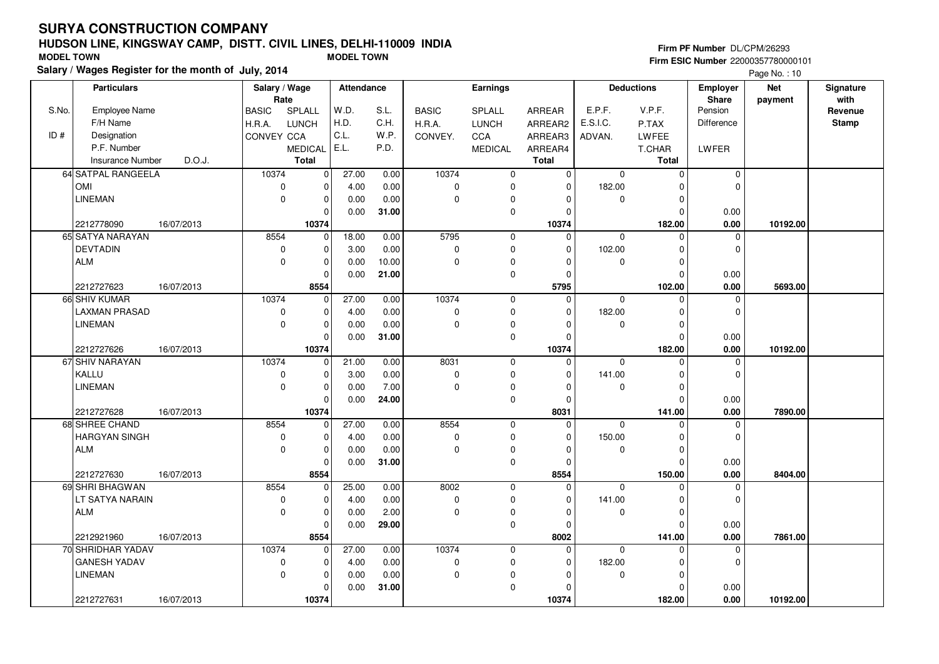#### **HUDSON LINE, KINGSWAY CAMP, DISTT. CIVIL LINES, DELHI-110009 INDIAFirm ESIC Number** 22000357780000101 **MODEL TOWN MODEL TOWN**

**Salary / Wages Register for the month of July, 2014**

**Firm PF Number** DL/CPM/26293

|       | <b>Particulars</b>                  |            | Salary / Wage       |                  | Attendance |              |              | <b>Earnings</b>  |               |             | <b>Deductions</b>    | <b>Employer</b>         | <b>Net</b> | Signature    |
|-------|-------------------------------------|------------|---------------------|------------------|------------|--------------|--------------|------------------|---------------|-------------|----------------------|-------------------------|------------|--------------|
| S.No. |                                     |            | Rate                |                  | W.D.       | S.L.         |              |                  |               | E.P.F.      | V.P.F.               | <b>Share</b><br>Pension | payment    | with         |
|       | <b>Employee Name</b>                |            | <b>BASIC</b>        | SPLALL           | H.D.       | C.H.         | <b>BASIC</b> | SPLALL           | <b>ARREAR</b> | E.S.I.C.    |                      |                         |            | Revenue      |
| ID#   | F/H Name                            |            | H.R.A.              | <b>LUNCH</b>     | C.L.       | W.P.         | H.R.A.       | <b>LUNCH</b>     | ARREAR2       |             | P.TAX                | Difference              |            | <b>Stamp</b> |
|       | Designation                         |            | <b>CONVEY CCA</b>   |                  | E.L.       |              | CONVEY.      | <b>CCA</b>       | ARREAR3       | ADVAN.      | <b>LWFEE</b>         |                         |            |              |
|       | P.F. Number                         |            |                     | <b>MEDICAL</b>   |            | P.D.         |              | <b>MEDICAL</b>   | ARREAR4       |             | T.CHAR               | LWFER                   |            |              |
|       | <b>Insurance Number</b>             | D.O.J.     |                     | Total            |            |              |              |                  | <b>Total</b>  |             | Total                |                         |            |              |
|       | 64 SATPAL RANGEELA                  |            | 10374               | $\mathbf 0$      | 27.00      | 0.00         | 10374        | $\mathbf 0$      | $\mathbf 0$   | $\mathbf 0$ | $\Omega$             | $\mathbf 0$             |            |              |
|       | OMI                                 |            | $\mathbf 0$         | $\mathbf 0$      | 4.00       | 0.00         | $\mathbf 0$  | 0                | $\Omega$      | 182.00      |                      | $\mathbf 0$             |            |              |
|       | <b>LINEMAN</b>                      |            | $\mathbf 0$         | $\mathbf 0$      | 0.00       | 0.00         | $\mathbf 0$  | 0                |               | 0           | $\Omega$             |                         |            |              |
|       |                                     |            |                     | $\mathbf 0$      | 0.00       | 31.00        |              | 0                | $\Omega$      |             | $\Omega$             | 0.00                    |            |              |
|       | 2212778090                          | 16/07/2013 |                     | 10374            | 18.00      |              | 5795         |                  | 10374         |             | 182.00               | 0.00                    | 10192.00   |              |
|       | 65 SATYA NARAYAN<br><b>DEVTADIN</b> |            | 8554<br>$\mathbf 0$ | 0<br>$\mathbf 0$ | 3.00       | 0.00<br>0.00 | $\mathbf 0$  | $\mathbf 0$<br>0 | 0<br>$\Omega$ | 0<br>102.00 | $\Omega$<br>$\Omega$ | 0<br>$\mathbf 0$        |            |              |
|       | ALM                                 |            | $\mathbf 0$         | $\mathbf 0$      | 0.00       | 10.00        | 0            |                  | $\Omega$      | 0           | $\Omega$             |                         |            |              |
|       |                                     |            |                     | $\mathbf 0$      | 0.00       | 21.00        |              | 0<br>$\mathbf 0$ | $\Omega$      |             | O                    | 0.00                    |            |              |
|       | 2212727623                          | 16/07/2013 |                     | 8554             |            |              |              |                  | 5795          |             | 102.00               | 0.00                    | 5693.00    |              |
|       | 66 SHIV KUMAR                       |            | 10374               | $\mathbf 0$      | 27.00      | 0.00         | 10374        | $\mathbf 0$      | $\mathbf 0$   | $\Omega$    | $\Omega$             | 0                       |            |              |
|       | <b>LAXMAN PRASAD</b>                |            | 0                   | $\pmb{0}$        | 4.00       | 0.00         | 0            | 0                | $\Omega$      | 182.00      |                      | $\Omega$                |            |              |
|       | <b>LINEMAN</b>                      |            | $\mathbf 0$         | $\pmb{0}$        | 0.00       | 0.00         | $\Omega$     | $\pmb{0}$        | $\Omega$      | $\Omega$    | $\Omega$             |                         |            |              |
|       |                                     |            |                     | $\mathbf 0$      | 0.00       | 31.00        |              | $\mathbf 0$      | $\Omega$      |             | $\Omega$             | 0.00                    |            |              |
|       | 2212727626                          | 16/07/2013 |                     | 10374            |            |              |              |                  | 10374         |             | 182.00               | 0.00                    | 10192.00   |              |
|       | 67 SHIV NARAYAN                     |            | 10374               | $\mathbf 0$      | 21.00      | 0.00         | 8031         | $\mathbf 0$      | $\Omega$      | $\Omega$    |                      | $\mathbf 0$             |            |              |
|       | KALLU                               |            | $\mathbf 0$         | $\mathbf 0$      | 3.00       | 0.00         | $\mathbf 0$  | 0                |               | 141.00      |                      | $\mathbf 0$             |            |              |
|       | LINEMAN                             |            | $\mathbf 0$         | $\mathbf 0$      | 0.00       | 7.00         | $\Omega$     | 0                | n             | 0           | n                    |                         |            |              |
|       |                                     |            |                     | $\mathbf 0$      | 0.00       | 24.00        |              | $\mathbf 0$      | $\Omega$      |             | $\Omega$             | 0.00                    |            |              |
|       | 2212727628                          | 16/07/2013 |                     | 10374            |            |              |              |                  | 8031          |             | 141.00               | 0.00                    | 7890.00    |              |
|       | 68 SHREE CHAND                      |            | 8554                | $\mathbf 0$      | 27.00      | 0.00         | 8554         | $\overline{0}$   | $\Omega$      | $\Omega$    |                      | $\mathbf 0$             |            |              |
|       | <b>HARGYAN SINGH</b>                |            | $\mathbf 0$         | $\mathbf 0$      | 4.00       | 0.00         | $\mathbf 0$  | $\mathbf 0$      | $\Omega$      | 150.00      |                      | $\mathbf 0$             |            |              |
|       | <b>ALM</b>                          |            | $\mathbf 0$         | $\mathbf 0$      | 0.00       | 0.00         | $\mathbf 0$  | 0                | $\Omega$      | 0           | 0                    |                         |            |              |
|       |                                     |            |                     | $\mathbf 0$      | 0.00       | 31.00        |              | $\pmb{0}$        | $\Omega$      |             | $\Omega$             | 0.00                    |            |              |
|       | 2212727630                          | 16/07/2013 |                     | 8554             |            |              |              |                  | 8554          |             | 150.00               | 0.00                    | 8404.00    |              |
|       | 69 SHRI BHAGWAN                     |            | 8554                | $\mathbf 0$      | 25.00      | 0.00         | 8002         | $\mathbf 0$      | $\Omega$      | $\mathbf 0$ | $\Omega$             | $\mathbf 0$             |            |              |
|       | LT SATYA NARAIN                     |            | $\mathbf 0$         | $\mathbf 0$      | 4.00       | 0.00         | $\pmb{0}$    | $\mathbf 0$      | $\Omega$      | 141.00      | $\Omega$             | $\Omega$                |            |              |
|       | <b>ALM</b>                          |            | $\mathbf 0$         | $\pmb{0}$        | 0.00       | 2.00         | $\Omega$     | $\pmb{0}$        | 0             | 0           | $\Omega$             |                         |            |              |
|       |                                     |            |                     | $\mathbf 0$      | 0.00       | 29.00        |              | $\mathbf 0$      | $\Omega$      |             |                      | 0.00                    |            |              |
|       | 2212921960                          | 16/07/2013 |                     | 8554             |            |              |              |                  | 8002          |             | 141.00               | 0.00                    | 7861.00    |              |
|       | 70 SHRIDHAR YADAV                   |            | 10374               | $\mathbf 0$      | 27.00      | 0.00         | 10374        | $\mathbf 0$      | $\Omega$      | 0           | $\Omega$             | $\mathbf 0$             |            |              |
|       | <b>GANESH YADAV</b>                 |            | $\pmb{0}$           | $\mathbf 0$      | 4.00       | 0.00         | $\pmb{0}$    | 0                | $\Omega$      | 182.00      | ŋ                    | $\mathbf 0$             |            |              |
|       | <b>LINEMAN</b>                      |            | $\mathbf 0$         | $\mathbf 0$      | 0.00       | 0.00         | $\Omega$     | 0                |               | 0           | O                    |                         |            |              |
|       |                                     |            |                     | $\mathbf 0$      | 0.00       | 31.00        |              | 0                | $\Omega$      |             | O                    | 0.00                    |            |              |
|       | 2212727631                          | 16/07/2013 |                     | 10374            |            |              |              |                  | 10374         |             | 182.00               | 0.00                    | 10192.00   |              |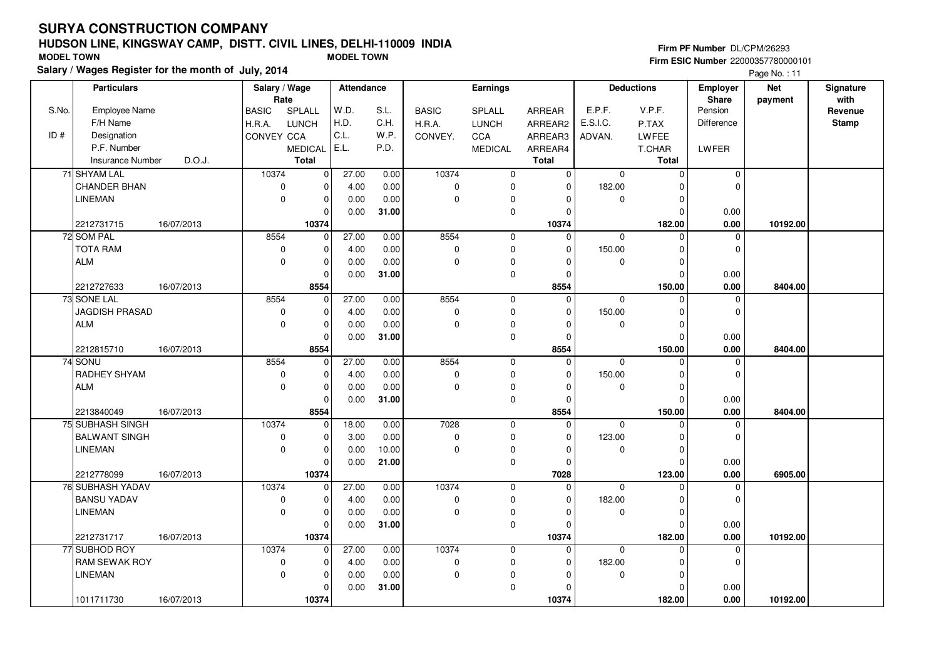#### **HUDSON LINE, KINGSWAY CAMP, DISTT. CIVIL LINES, DELHI-110009 INDIAFirm ESIC Number** 22000357780000101 **MODEL TOWN MODEL TOWN**

**Salary / Wages Register for the month of July, 2014**

**Firm PF Number** DL/CPM/26293

|       | <b>Particulars</b>      |            | Salary / Wage<br>Rate |                | <b>Attendance</b> |       |              | <b>Earnings</b> |               |             | <b>Deductions</b> | Employer<br>Share | <b>Net</b> | Signature<br>with |
|-------|-------------------------|------------|-----------------------|----------------|-------------------|-------|--------------|-----------------|---------------|-------------|-------------------|-------------------|------------|-------------------|
| S.No. | Employee Name           |            | <b>BASIC</b>          | SPLALL         | W.D.              | S.L.  | <b>BASIC</b> | SPLALL          | <b>ARREAR</b> | E.P.F.      | V.P.F.            | Pension           | payment    | Revenue           |
|       | F/H Name                |            | H.R.A.                | <b>LUNCH</b>   | H.D.              | C.H.  | H.R.A.       | <b>LUNCH</b>    | ARREAR2       | E.S.I.C.    | P.TAX             | <b>Difference</b> |            | <b>Stamp</b>      |
| ID#   | Designation             |            | CONVEY CCA            |                | C.L.              | W.P.  | CONVEY.      | CCA             | ARREAR3       | ADVAN.      | LWFEE             |                   |            |                   |
|       | P.F. Number             |            |                       | <b>MEDICAL</b> | E.L.              | P.D.  |              | <b>MEDICAL</b>  | ARREAR4       |             | T.CHAR            | LWFER             |            |                   |
|       | <b>Insurance Number</b> | D.O.J.     |                       | <b>Total</b>   |                   |       |              |                 | <b>Total</b>  |             | <b>Total</b>      |                   |            |                   |
|       | 71 SHYAM LAL            |            | 10374                 | $\mathbf 0$    | 27.00             | 0.00  | 10374        | $\mathbf 0$     | $\mathbf 0$   | $\mathbf 0$ | $\mathbf 0$       | 0                 |            |                   |
|       | <b>CHANDER BHAN</b>     |            | $\mathbf 0$           | $\mathbf 0$    | 4.00              | 0.00  | $\mathbf 0$  | 0               | $\Omega$      | 182.00      | $\Omega$          | $\Omega$          |            |                   |
|       | <b>LINEMAN</b>          |            | $\mathbf 0$           | $\mathbf 0$    | 0.00              | 0.00  | $\Omega$     | 0               | $\Omega$      | $\mathbf 0$ | $\mathbf 0$       |                   |            |                   |
|       |                         |            |                       | $\mathbf 0$    | 0.00              | 31.00 |              | 0               | $\Omega$      |             | $\Omega$          | 0.00              |            |                   |
|       | 2212731715              | 16/07/2013 |                       | 10374          |                   |       |              |                 | 10374         |             | 182.00            | 0.00              | 10192.00   |                   |
|       | 72 SOM PAL              |            | 8554                  | $\mathbf 0$    | 27.00             | 0.00  | 8554         | $\mathbf 0$     | $\Omega$      | $\mathbf 0$ | $\Omega$          | $\mathbf 0$       |            |                   |
|       | <b>TOTA RAM</b>         |            | $\mathbf 0$           | $\mathbf 0$    | 4.00              | 0.00  | $\pmb{0}$    | 0               | $\Omega$      | 150.00      | 0                 | $\mathbf 0$       |            |                   |
|       | <b>ALM</b>              |            | $\mathbf 0$           | $\mathbf 0$    | 0.00              | 0.00  | $\Omega$     | 0               | $\Omega$      | 0           | $\mathbf 0$       |                   |            |                   |
|       |                         |            |                       | $\mathbf 0$    | 0.00              | 31.00 |              | 0               | $\Omega$      |             | $\mathbf 0$       | 0.00              |            |                   |
|       | 2212727633              | 16/07/2013 |                       | 8554           |                   |       |              |                 | 8554          |             | 150.00            | 0.00              | 8404.00    |                   |
|       | 73 SONE LAL             |            | 8554                  | $\mathbf 0$    | 27.00             | 0.00  | 8554         | $\mathbf 0$     | $\Omega$      | $\mathbf 0$ | $\mathbf 0$       | $\mathbf 0$       |            |                   |
|       | JAGDISH PRASAD          |            | $\mathbf 0$           | $\mathbf 0$    | 4.00              | 0.00  | $\mathbf 0$  | 0               | $\Omega$      | 150.00      | $\Omega$          | $\Omega$          |            |                   |
|       | <b>ALM</b>              |            | $\mathbf 0$           | $\mathbf 0$    | 0.00              | 0.00  | $\mathbf 0$  | 0               | $\Omega$      | 0           | $\mathbf 0$       |                   |            |                   |
|       |                         |            |                       | $\Omega$       | 0.00              | 31.00 |              | $\mathsf 0$     | $\Omega$      |             | $\Omega$          | 0.00              |            |                   |
|       | 2212815710              | 16/07/2013 |                       | 8554           |                   |       |              |                 | 8554          |             | 150.00            | 0.00              | 8404.00    |                   |
|       | 74 SONU                 |            | 8554                  | $\mathbf 0$    | 27.00             | 0.00  | 8554         | $\mathbf 0$     | $\mathbf 0$   | $\mathbf 0$ | $\mathbf 0$       | $\mathbf 0$       |            |                   |
|       | RADHEY SHYAM            |            | $\mathbf 0$           | $\mathbf 0$    | 4.00              | 0.00  | $\mathbf 0$  | 0               | $\Omega$      | 150.00      | $\mathbf 0$       | $\mathbf 0$       |            |                   |
|       | <b>ALM</b>              |            | $\mathbf 0$           | $\mathbf 0$    | 0.00              | 0.00  | $\Omega$     | 0               | $\Omega$      | 0           | $\mathbf 0$       |                   |            |                   |
|       |                         |            |                       | $\Omega$       | 0.00              | 31.00 |              | $\mathbf{0}$    | $\Omega$      |             | $\Omega$          | 0.00              |            |                   |
|       | 2213840049              | 16/07/2013 |                       | 8554           |                   |       |              |                 | 8554          |             | 150.00            | 0.00              | 8404.00    |                   |
|       | 75 SUBHASH SINGH        |            | 10374                 | $\mathbf 0$    | 18.00             | 0.00  | 7028         | $\mathbf 0$     | $\Omega$      | $\Omega$    | $\Omega$          | $\mathbf 0$       |            |                   |
|       | <b>BALWANT SINGH</b>    |            | $\mathbf 0$           | $\mathbf 0$    | 3.00              | 0.00  | $\mathbf 0$  | 0               | $\Omega$      | 123.00      | $\Omega$          | $\Omega$          |            |                   |
|       | <b>LINEMAN</b>          |            | $\mathbf 0$           | $\mathbf 0$    | 0.00              | 10.00 | $\Omega$     | 0               | $\Omega$      | $\mathbf 0$ | $\mathbf 0$       |                   |            |                   |
|       |                         |            |                       | $\mathbf 0$    | 0.00              | 21.00 |              | 0               | $\Omega$      |             | $\mathbf 0$       | 0.00              |            |                   |
|       | 2212778099              | 16/07/2013 |                       | 10374          |                   |       |              |                 | 7028          |             | 123.00            | 0.00              | 6905.00    |                   |
|       | 76 SUBHASH YADAV        |            | 10374                 | $\mathbf 0$    | 27.00             | 0.00  | 10374        | $\mathbf 0$     | $\mathbf 0$   | $\mathbf 0$ | $\Omega$          | 0                 |            |                   |
|       | <b>BANSU YADAV</b>      |            | $\pmb{0}$             | $\mathbf 0$    | 4.00              | 0.00  | $\mathbf 0$  | 0               | $\Omega$      | 182.00      | $\Omega$          | $\Omega$          |            |                   |
|       | <b>LINEMAN</b>          |            | $\mathbf 0$           | $\mathbf 0$    | 0.00              | 0.00  | $\Omega$     | 0               | $\Omega$      | 0           | $\mathbf 0$       |                   |            |                   |
|       |                         |            |                       | $\mathbf 0$    | 0.00              | 31.00 |              | $\pmb{0}$       | $\Omega$      |             | $\Omega$          | 0.00              |            |                   |
|       | 2212731717              | 16/07/2013 |                       | 10374          |                   |       |              |                 | 10374         |             | 182.00            | 0.00              | 10192.00   |                   |
|       | 77 SUBHOD ROY           |            | 10374                 | $\mathbf 0$    | 27.00             | 0.00  | 10374        | $\mathbf 0$     | $\Omega$      | $\mathbf 0$ | $\Omega$          | $\mathbf 0$       |            |                   |
|       | RAM SEWAK ROY           |            | $\mathbf 0$           | $\mathbf 0$    | 4.00              | 0.00  | $\mathbf 0$  | $\mathbf 0$     | $\mathbf 0$   | 182.00      | 0                 | $\Omega$          |            |                   |
|       | <b>LINEMAN</b>          |            | $\mathbf 0$           | $\mathbf 0$    | 0.00              | 0.00  | $\Omega$     | 0               | $\Omega$      | 0           | $\mathbf 0$       |                   |            |                   |
|       |                         |            |                       | $\mathbf 0$    | 0.00              | 31.00 |              | $\pmb{0}$       | $\Omega$      |             | $\Omega$          | 0.00              |            |                   |
|       | 1011711730              | 16/07/2013 |                       | 10374          |                   |       |              |                 | 10374         |             | 182.00            | 0.00              | 10192.00   |                   |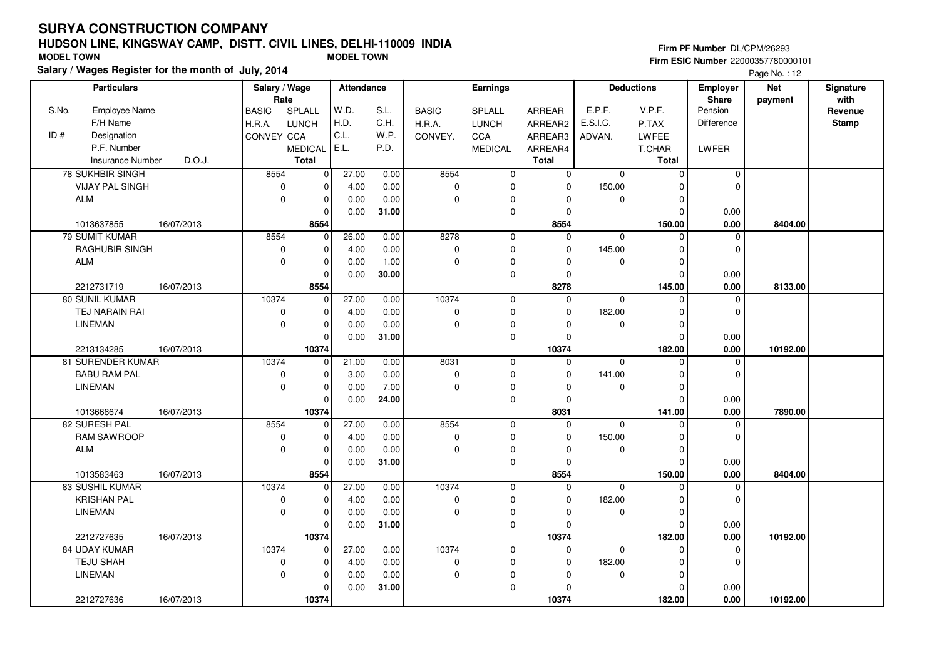#### **HUDSON LINE, KINGSWAY CAMP, DISTT. CIVIL LINES, DELHI-110009 INDIAFirm ESIC Number** 22000357780000101 **MODEL TOWN MODEL TOWN**

**Salary / Wages Register for the month of July, 2014**

**Firm PF Number** DL/CPM/26293

|       | <b>Particulars</b>      |            | Salary / Wage<br>Rate |                | <b>Attendance</b> |       |              | Earnings            |              |             | <b>Deductions</b> | Employer<br>Share | <b>Net</b><br>payment | Signature<br>with |
|-------|-------------------------|------------|-----------------------|----------------|-------------------|-------|--------------|---------------------|--------------|-------------|-------------------|-------------------|-----------------------|-------------------|
| S.No. | <b>Employee Name</b>    |            | <b>BASIC</b>          | SPLALL         | W.D.              | S.L.  | <b>BASIC</b> | SPLALL              | ARREAR       | E.P.F.      | V.P.F.            | Pension           |                       | Revenue           |
|       | F/H Name                |            | H.R.A.                | LUNCH          | H.D.              | C.H.  | H.R.A.       | <b>LUNCH</b>        | ARREAR2      | E.S.I.C.    | P.TAX             | <b>Difference</b> |                       | <b>Stamp</b>      |
| ID#   | Designation             |            | <b>CONVEY CCA</b>     |                | C.L.              | W.P.  | CONVEY.      | <b>CCA</b>          | ARREAR3      | ADVAN.      | LWFEE             |                   |                       |                   |
|       | P.F. Number             |            |                       | <b>MEDICAL</b> | E.L.              | P.D.  |              | <b>MEDICAL</b>      | ARREAR4      |             | T.CHAR            | LWFER             |                       |                   |
|       | <b>Insurance Number</b> | D.O.J.     |                       | <b>Total</b>   |                   |       |              |                     | <b>Total</b> |             | Total             |                   |                       |                   |
|       | 78 SUKHBIR SINGH        |            | 8554                  | $\mathbf 0$    | 27.00             | 0.00  | 8554         | 0                   | $\mathbf 0$  | $\mathbf 0$ | $\mathbf 0$       | 0                 |                       |                   |
|       | <b>VIJAY PAL SINGH</b>  |            | $\mathbf 0$           | $\mathbf 0$    | 4.00              | 0.00  | $\mathbf 0$  | 0                   | $\Omega$     | 150.00      | $\Omega$          | $\Omega$          |                       |                   |
|       | <b>ALM</b>              |            | $\mathbf 0$           | $\mathbf 0$    | 0.00              | 0.00  | $\mathbf 0$  | 0                   | 0            | $\mathbf 0$ | $\mathbf 0$       |                   |                       |                   |
|       |                         |            |                       | $\mathbf 0$    | 0.00              | 31.00 |              | 0                   | $\Omega$     |             | $\Omega$          | 0.00              |                       |                   |
|       | 1013637855              | 16/07/2013 |                       | 8554           |                   |       |              |                     | 8554         |             | 150.00            | 0.00              | 8404.00               |                   |
|       | 79 SUMIT KUMAR          |            | 8554                  | $\mathbf 0$    | 26.00             | 0.00  | 8278         | $\mathbf 0$         | $\Omega$     | $\mathbf 0$ | $\Omega$          | $\Omega$          |                       |                   |
|       | <b>RAGHUBIR SINGH</b>   |            | 0                     | $\mathbf 0$    | 4.00              | 0.00  | $\pmb{0}$    | 0                   | $\mathbf 0$  | 145.00      | $\mathbf 0$       | $\mathbf 0$       |                       |                   |
|       | <b>ALM</b>              |            | $\mathbf 0$           | $\mathbf 0$    | 0.00              | 1.00  | $\mathbf 0$  | 0                   | $\Omega$     | 0           | $\Omega$          |                   |                       |                   |
|       |                         |            |                       | $\mathbf 0$    | 0.00              | 30.00 |              | 0                   | 0            |             | $\mathbf 0$       | 0.00              |                       |                   |
|       | 2212731719              | 16/07/2013 |                       | 8554           |                   |       |              |                     | 8278         |             | 145.00            | 0.00              | 8133.00               |                   |
|       | 80 SUNIL KUMAR          |            | 10374                 | $\mathbf{0}$   | 27.00             | 0.00  | 10374        | $\mathbf 0$         | $\mathbf 0$  | $\mathbf 0$ | $\Omega$          | $\mathbf 0$       |                       |                   |
|       | TEJ NARAIN RAI          |            | 0                     | $\mathbf 0$    | 4.00              | 0.00  | $\mathbf 0$  | 0                   | $\Omega$     | 182.00      | $\Omega$          | $\Omega$          |                       |                   |
|       | LINEMAN                 |            | $\mathbf 0$           | $\mathbf 0$    | 0.00              | 0.00  | $\mathbf 0$  | 0                   | $\Omega$     | 0           | $\mathbf 0$       |                   |                       |                   |
|       |                         |            |                       | $\Omega$       | 0.00              | 31.00 |              | $\mathsf{O}\xspace$ | $\Omega$     |             | $\Omega$          | 0.00              |                       |                   |
|       | 2213134285              | 16/07/2013 |                       | 10374          |                   |       |              |                     | 10374        |             | 182.00            | 0.00              | 10192.00              |                   |
|       | 81 SURENDER KUMAR       |            | 10374                 | $\mathbf 0$    | 21.00             | 0.00  | 8031         | $\mathbf 0$         | $\Omega$     | $\mathbf 0$ | $\Omega$          | $\mathbf 0$       |                       |                   |
|       | <b>BABU RAM PAL</b>     |            | 0                     | $\mathbf 0$    | 3.00              | 0.00  | $\pmb{0}$    | $\mathsf 0$         | $\Omega$     | 141.00      | $\mathbf 0$       | $\mathbf 0$       |                       |                   |
|       | <b>LINEMAN</b>          |            | $\mathbf 0$           | $\pmb{0}$      | 0.00              | 7.00  | $\mathbf 0$  | 0                   | $\Omega$     | 0           | $\Omega$          |                   |                       |                   |
|       |                         |            |                       | $\mathbf 0$    | 0.00              | 24.00 |              | 0                   | $\Omega$     |             | $\Omega$          | 0.00              |                       |                   |
|       | 1013668674              | 16/07/2013 |                       | 10374          |                   |       |              |                     | 8031         |             | 141.00            | 0.00              | 7890.00               |                   |
|       | 82 SURESH PAL           |            | 8554                  | $\mathbf 0$    | 27.00             | 0.00  | 8554         | 0                   | $\mathbf 0$  | $\Omega$    | $\Omega$          | $\mathbf 0$       |                       |                   |
|       | <b>RAM SAWROOP</b>      |            | 0                     | $\pmb{0}$      | 4.00              | 0.00  | $\mathbf 0$  | 0                   | $\Omega$     | 150.00      | $\Omega$          | $\Omega$          |                       |                   |
|       | <b>ALM</b>              |            | $\mathbf 0$           | $\mathbf 0$    | 0.00              | 0.00  | $\Omega$     | 0                   | $\Omega$     | $\mathbf 0$ | $\mathbf 0$       |                   |                       |                   |
|       |                         |            |                       | $\mathbf 0$    | 0.00              | 31.00 |              | 0                   | $\mathbf 0$  |             | $\mathbf 0$       | 0.00              |                       |                   |
|       | 1013583463              | 16/07/2013 |                       | 8554           |                   |       |              |                     | 8554         |             | 150.00            | 0.00              | 8404.00               |                   |
|       | 83 SUSHIL KUMAR         |            | 10374                 | $\mathbf 0$    | 27.00             | 0.00  | 10374        | $\mathbf 0$         | $\mathbf 0$  | $\mathbf 0$ | $\Omega$          | 0                 |                       |                   |
|       | <b>KRISHAN PAL</b>      |            | 0                     | $\mathbf 0$    | 4.00              | 0.00  | $\mathbf 0$  | 0                   | $\Omega$     | 182.00      | $\Omega$          | $\Omega$          |                       |                   |
|       | <b>LINEMAN</b>          |            | $\mathbf 0$           | $\mathbf 0$    | 0.00              | 0.00  | $\mathbf 0$  | 0                   | 0            | $\mathbf 0$ | $\Omega$          |                   |                       |                   |
|       |                         |            |                       | $\mathbf 0$    | 0.00              | 31.00 |              | 0                   | $\Omega$     |             | $\Omega$          | 0.00              |                       |                   |
|       | 2212727635              | 16/07/2013 |                       | 10374          |                   |       |              |                     | 10374        |             | 182.00            | 0.00              | 10192.00              |                   |
|       | 84 UDAY KUMAR           |            | 10374                 | $\mathbf 0$    | 27.00             | 0.00  | 10374        | 0                   | $\Omega$     | $\mathbf 0$ | $\Omega$          | $\Omega$          |                       |                   |
|       | TEJU SHAH               |            | 0                     | $\mathbf 0$    | 4.00              | 0.00  | $\pmb{0}$    | $\mathbf 0$         | $\mathbf 0$  | 182.00      | $\mathbf 0$       | $\Omega$          |                       |                   |
|       | <b>LINEMAN</b>          |            | $\pmb{0}$             | $\mathbf 0$    | 0.00              | 0.00  | $\mathbf 0$  | 0                   | $\Omega$     | 0           | $\Omega$          |                   |                       |                   |
|       |                         |            |                       | $\mathbf 0$    | 0.00              | 31.00 |              | 0                   | $\Omega$     |             | $\Omega$          | 0.00              |                       |                   |
|       | 2212727636              | 16/07/2013 |                       | 10374          |                   |       |              |                     | 10374        |             | 182.00            | 0.00              | 10192.00              |                   |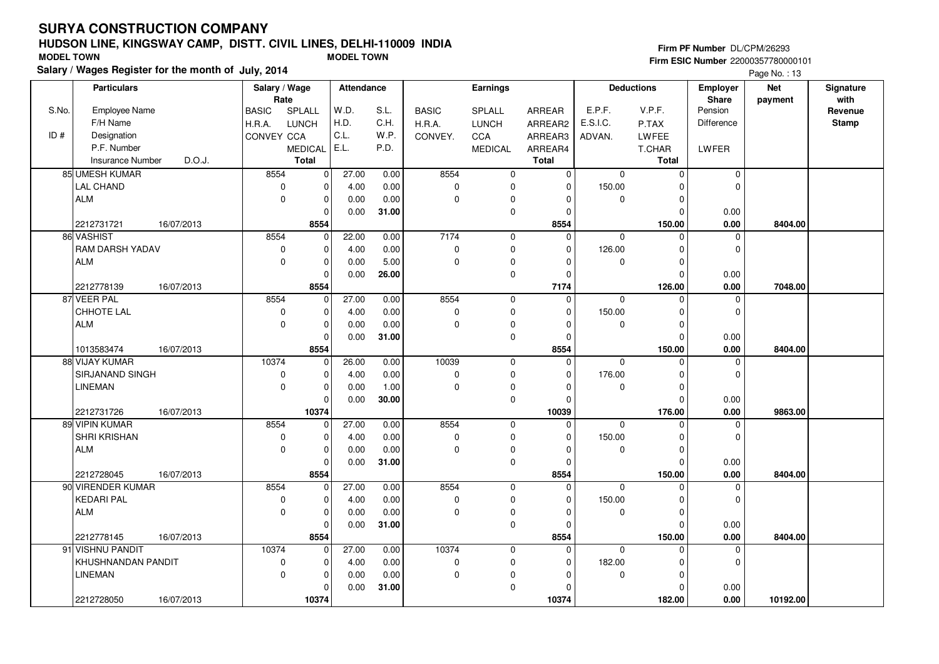#### **HUDSON LINE, KINGSWAY CAMP, DISTT. CIVIL LINES, DELHI-110009 INDIAFirm ESIC Number** 22000357780000101 **MODEL TOWN MODEL TOWN**

**Salary / Wages Register for the month of July, 2014**

**Firm PF Number** DL/CPM/26293

|       | <b>Particulars</b>   |            | Salary / Wage<br>Rate |                | <b>Attendance</b> |       | Earnings     |                |               | <b>Deductions</b> |               | <b>Employer</b><br>Share | <b>Net</b> | Signature<br>with |
|-------|----------------------|------------|-----------------------|----------------|-------------------|-------|--------------|----------------|---------------|-------------------|---------------|--------------------------|------------|-------------------|
| S.No. | <b>Employee Name</b> |            | <b>BASIC</b>          | SPLALL         | W.D.              | S.L.  | <b>BASIC</b> | SPLALL         | <b>ARREAR</b> | E.P.F.            | V.P.F.        | Pension                  | payment    | Revenue           |
|       | F/H Name             |            | H.R.A.                | <b>LUNCH</b>   | H.D.              | C.H.  | H.R.A.       | <b>LUNCH</b>   | ARREAR2       | E.S.I.C.          | P.TAX         | Difference               |            | <b>Stamp</b>      |
| ID#   | Designation          |            | CONVEY CCA            |                | C.L.              | W.P.  | CONVEY.      | CCA            | ARREAR3       | ADVAN.            | LWFEE         |                          |            |                   |
|       | P.F. Number          |            |                       | <b>MEDICAL</b> | E.L.              | P.D.  |              | <b>MEDICAL</b> | ARREAR4       |                   | <b>T.CHAR</b> | LWFER                    |            |                   |
|       | Insurance Number     | D.O.J.     |                       | <b>Total</b>   |                   |       |              |                | <b>Total</b>  |                   | Total         |                          |            |                   |
|       | 85 UMESH KUMAR       |            | 8554                  | $\mathbf 0$    | 27.00             | 0.00  | 8554         | $\mathbf 0$    | 0             | $\mathbf 0$       | $\mathbf 0$   | $\mathbf 0$              |            |                   |
|       | <b>LAL CHAND</b>     |            | $\mathbf 0$           | $\mathbf 0$    | 4.00              | 0.00  | $\pmb{0}$    | $\mathbf 0$    | $\Omega$      | 150.00            | $\Omega$      | $\Omega$                 |            |                   |
|       | <b>ALM</b>           |            | $\Omega$              | $\mathbf 0$    | 0.00              | 0.00  | $\pmb{0}$    | 0              | $\Omega$      | 0                 | $\Omega$      |                          |            |                   |
|       |                      |            |                       | $\Omega$       | 0.00              | 31.00 |              | $\pmb{0}$      | $\Omega$      |                   | $\Omega$      | 0.00                     |            |                   |
|       | 2212731721           | 16/07/2013 |                       | 8554           |                   |       |              |                | 8554          |                   | 150.00        | 0.00                     | 8404.00    |                   |
|       | 86 VASHIST           |            | 8554                  | $\mathbf 0$    | 22.00             | 0.00  | 7174         | $\mathbf 0$    | $\Omega$      | 0                 | $\Omega$      | $\mathbf 0$              |            |                   |
|       | RAM DARSH YADAV      |            | $\pmb{0}$             | $\mathbf 0$    | 4.00              | 0.00  | $\mathbf 0$  | $\pmb{0}$      | $\Omega$      | 126.00            | O             | $\mathbf 0$              |            |                   |
|       | <b>ALM</b>           |            | $\Omega$              | $\mathbf 0$    | 0.00              | 5.00  | $\pmb{0}$    | 0              | $\Omega$      | 0                 | $\Omega$      |                          |            |                   |
|       |                      |            |                       | $\Omega$       | 0.00              | 26.00 |              | $\mathbf 0$    | $\Omega$      |                   | $\Omega$      | 0.00                     |            |                   |
|       | 2212778139           | 16/07/2013 |                       | 8554           |                   |       |              |                | 7174          |                   | 126.00        | 0.00                     | 7048.00    |                   |
|       | 87 VEER PAL          |            | 8554                  | $\mathbf 0$    | 27.00             | 0.00  | 8554         | $\mathbf 0$    | $\mathbf 0$   | $\mathbf 0$       | $\Omega$      | $\mathbf 0$              |            |                   |
|       | CHHOTE LAL           |            | $\mathbf 0$           | $\mathbf 0$    | 4.00              | 0.00  | $\pmb{0}$    | $\mathbf 0$    | $\Omega$      | 150.00            | $\Omega$      | $\mathbf 0$              |            |                   |
|       | ALM                  |            | $\mathbf 0$           | $\mathbf 0$    | 0.00              | 0.00  | $\mathbf 0$  | $\mathbf 0$    | $\Omega$      | 0                 | $\Omega$      |                          |            |                   |
|       |                      |            |                       | $\Omega$       | 0.00              | 31.00 |              | $\mathbf 0$    | $\Omega$      |                   | $\Omega$      | 0.00                     |            |                   |
|       | 1013583474           | 16/07/2013 |                       | 8554           |                   |       |              |                | 8554          |                   | 150.00        | 0.00                     | 8404.00    |                   |
|       | 88 VIJAY KUMAR       |            | 10374                 | $\Omega$       | 26.00             | 0.00  | 10039        | $\mathbf 0$    | $\Omega$      | 0                 | $\Omega$      | $\Omega$                 |            |                   |
|       | SIRJANAND SINGH      |            | 0                     | $\mathbf 0$    | 4.00              | 0.00  | $\pmb{0}$    | $\mathbf 0$    | $\Omega$      | 176.00            | $\Omega$      | $\mathbf 0$              |            |                   |
|       | <b>LINEMAN</b>       |            | 0                     | $\mathbf 0$    | 0.00              | 1.00  | $\pmb{0}$    | 0              | $\Omega$      | 0                 | 0             |                          |            |                   |
|       |                      |            |                       | $\Omega$       | 0.00              | 30.00 |              | $\mathbf 0$    | $\Omega$      |                   | $\Omega$      | 0.00                     |            |                   |
|       | 2212731726           | 16/07/2013 |                       | 10374          |                   |       |              |                | 10039         |                   | 176.00        | 0.00                     | 9863.00    |                   |
|       | 89 VIPIN KUMAR       |            | 8554                  | $\mathbf 0$    | 27.00             | 0.00  | 8554         | $\mathbf 0$    | 0             | 0                 | $\Omega$      | $\mathbf 0$              |            |                   |
|       | SHRI KRISHAN         |            | $\mathbf 0$           | $\Omega$       | 4.00              | 0.00  | $\mathbf 0$  | $\pmb{0}$      | $\Omega$      | 150.00            | $\Omega$      | $\mathbf 0$              |            |                   |
|       | ALM                  |            | $\mathbf 0$           | $\mathbf 0$    | 0.00              | 0.00  | $\mathbf 0$  | 0              | $\Omega$      | 0                 | $\Omega$      |                          |            |                   |
|       |                      |            |                       | $\Omega$       | 0.00              | 31.00 |              | $\pmb{0}$      | $\Omega$      |                   | $\Omega$      | 0.00                     |            |                   |
|       | 2212728045           | 16/07/2013 |                       | 8554           |                   |       |              |                | 8554          |                   | 150.00        | 0.00                     | 8404.00    |                   |
|       | 90 VIRENDER KUMAR    |            | 8554                  | $\mathbf 0$    | 27.00             | 0.00  | 8554         | $\mathbf 0$    | $\Omega$      | 0                 | $\Omega$      | $\mathbf 0$              |            |                   |
|       | <b>KEDARI PAL</b>    |            | 0                     | $\Omega$       | 4.00              | 0.00  | $\pmb{0}$    | $\mathbf 0$    | $\Omega$      | 150.00            | $\Omega$      | $\Omega$                 |            |                   |
|       | <b>ALM</b>           |            | $\Omega$              | $\mathbf 0$    | 0.00              | 0.00  | $\mathbf 0$  | $\pmb{0}$      | $\Omega$      | 0                 | $\Omega$      |                          |            |                   |
|       |                      |            |                       | $\Omega$       | 0.00              | 31.00 |              | $\mathbf 0$    | 0             |                   | $\Omega$      | 0.00                     |            |                   |
|       | 2212778145           | 16/07/2013 |                       | 8554           |                   |       |              |                | 8554          |                   | 150.00        | $0.00\,$                 | 8404.00    |                   |
|       | 91 VISHNU PANDIT     |            | 10374                 | $\Omega$       | 27.00             | 0.00  | 10374        | $\mathbf 0$    | 0             | 0                 | $\Omega$      | $\mathbf 0$              |            |                   |
|       | KHUSHNANDAN PANDIT   |            | 0                     | $\mathbf 0$    | 4.00              | 0.00  | $\pmb{0}$    | 0              | $\Omega$      | 182.00            | O             | $\mathbf 0$              |            |                   |
|       | <b>LINEMAN</b>       |            | $\Omega$              | $\mathbf 0$    | 0.00              | 0.00  | $\pmb{0}$    | $\mathbf 0$    | $\Omega$      | 0                 | $\Omega$      |                          |            |                   |
|       |                      |            |                       | $\Omega$       | 0.00              | 31.00 |              | $\mathbf 0$    | $\Omega$      |                   | $\Omega$      | 0.00                     |            |                   |
|       | 2212728050           | 16/07/2013 |                       | 10374          |                   |       |              |                | 10374         |                   | 182.00        | 0.00                     | 10192.00   |                   |